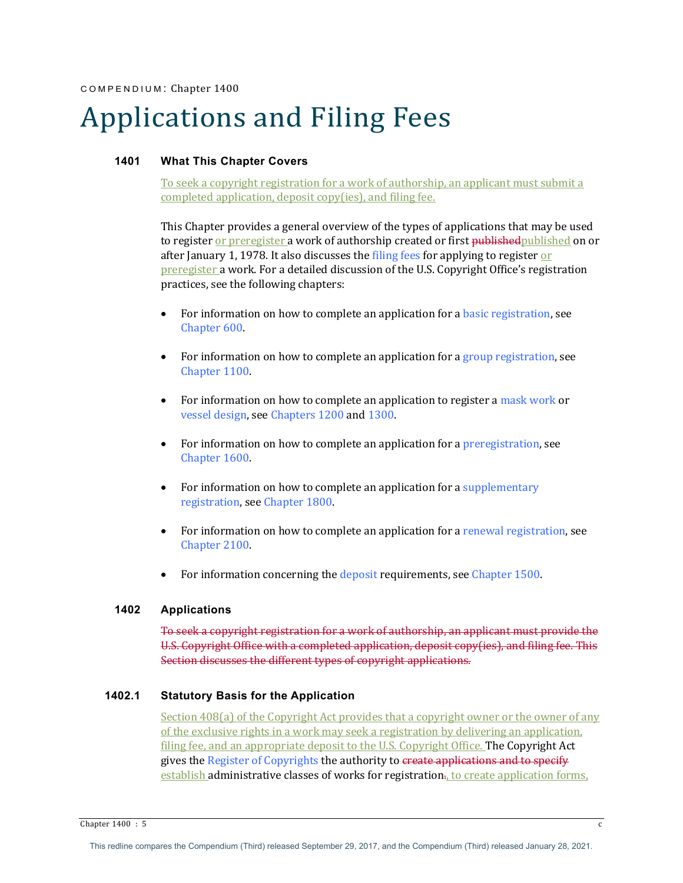# Applications and Filing Fees

# **1401 What This Chapter Covers**

To seek a copyright registration for a work of authorship, an applicant must submit a completed application, deposit  $copy(ies)$ , and filing fee.

This Chapter provides a general overview of the types of applications that may be used to register <u>or preregister</u> a work of authorship created or first <del>published</del> published on or after January 1, 1978. It also discusses the filing fees for applying to register or preregister a work. For a detailed discussion of the U.S. Copyright Office's registration practices, see the following chapters:

- For information on how to complete an application for a basic registration, see Chapter 600.
- For information on how to complete an application for a group registration, see Chapter 1100.
- For information on how to complete an application to register a mask work or vessel design, see Chapters 1200 and 1300.
- For information on how to complete an application for a preregistration, see Chapter 1600
- For information on how to complete an application for a supplementary registration, see Chapter 1800.
- For information on how to complete an application for a renewal registration, see Chapter 2100.
- For information concerning the deposit requirements, see Chapter 1500.

# **1402 Applications**

To seek a copyright registration for a work of authorship, an applicant must provide the U.S. Copyright Office with a completed application, deposit copy(ies), and filing fee. This Section discusses the different types of copyright applications.

# **1402.1 Statutory Basis for the Application**

Section 408(a) of the Copyright Act provides that a copyright owner or the owner of any of the exclusive rights in a work may seek a registration by delivering an application, filing fee, and an appropriate deposit to the U.S. Copyright Office. The Copyright Act gives the Register of Copyrights the authority to create applications and to specify establish administrative classes of works for registration., to create application forms,

Chapter  $1400 : 5$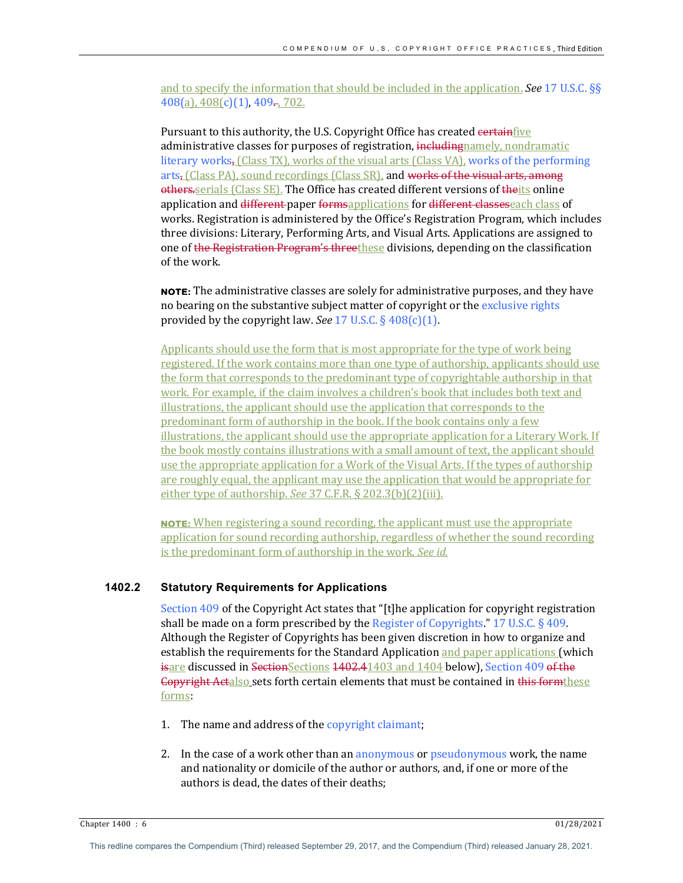and to specify the information that should be included in the application. **See 17 U.S.C.** §§  $408(a)$ ,  $408(c)(1)$ ,  $409$ ,  $702$ .

Pursuant to this authority, the U.S. Copyright Office has created certainfive administrative classes for purposes of registration, including namely, nondramatic literary works, (Class TX), works of the visual arts (Class VA), works of the performing arts, (Class PA), sound recordings (Class SR), and works of the visual arts, among others.serials (Class SE). The Office has created different versions of theits online application and different paper formsapplications for different classeseach class of works. Registration is administered by the Office's Registration Program, which includes three divisions: Literary, Performing Arts, and Visual Arts. Applications are assigned to one of the Registration Program's threethese divisions, depending on the classification of the work.

**NOTE:** The administrative classes are solely for administrative purposes, and they have no bearing on the substantive subject matter of copyright or the exclusive rights provided by the copyright law. *See* 17 U.S.C.  $\S$  408(c)(1).

Applicants should use the form that is most appropriate for the type of work being registered. If the work contains more than one type of authorship, applicants should use the form that corresponds to the predominant type of copyrightable authorship in that work. For example, if the claim involves a children's book that includes both text and illustrations, the applicant should use the application that corresponds to the predominant form of authorship in the book. If the book contains only a few illustrations, the applicant should use the appropriate application for a Literary Work. If the book mostly contains illustrations with a small amount of text, the applicant should use the appropriate application for a Work of the Visual Arts. If the types of authorship are roughly equal, the applicant may use the application that would be appropriate for either type of authorship. *See* 37 C.F.R. § 202.3(b)(2)(iii).

**NOTE:** When registering a sound recording, the applicant must use the appropriate application for sound recording authorship, regardless of whether the sound recording is the predominant form of authorship in the work. See id.

## **1402.2 Statutory Requirements for Applications**

Section  $409$  of the Copyright Act states that "[t]he application for copyright registration shall be made on a form prescribed by the Register of Copyrights." 17 U.S.C.  $\S$  409. Although the Register of Copyrights has been given discretion in how to organize and establish the requirements for the Standard Application and paper applications (which isare discussed in SectionSections 4402.41403 and 1404 below), Section 409 of the Gopyright Actalso sets forth certain elements that must be contained in this formthese forms:

- 1. The name and address of the copyright claimant;
- 2. In the case of a work other than an anonymous or pseudonymous work, the name and nationality or domicile of the author or authors, and, if one or more of the authors is dead, the dates of their deaths:

Chapter 1400 : 6 01/28/2021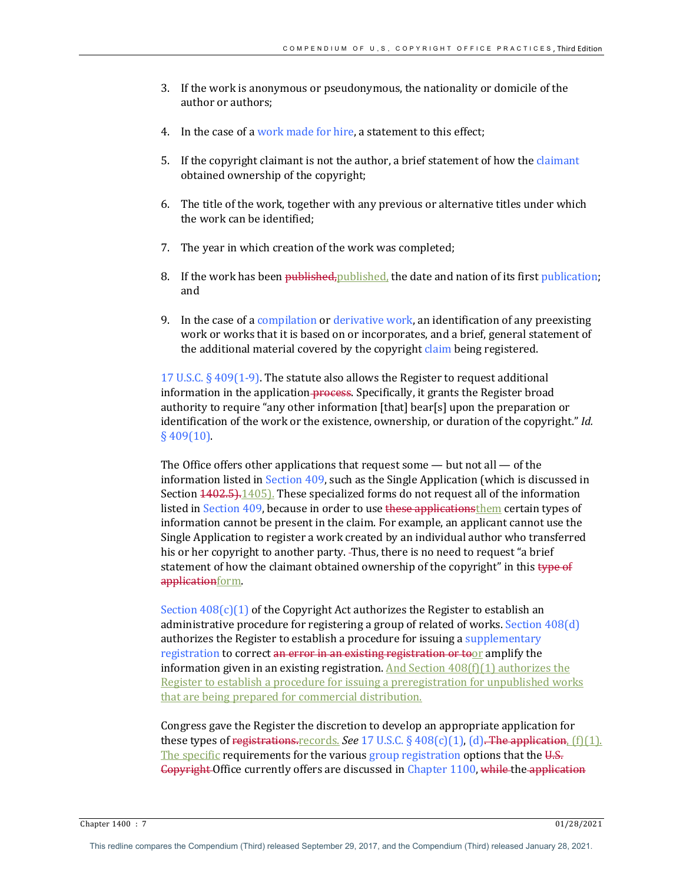- 3. If the work is anonymous or pseudonymous, the nationality or domicile of the author or authors:
- 4. In the case of a work made for hire, a statement to this effect;
- 5. If the copyright claimant is not the author, a brief statement of how the claimant obtained ownership of the copyright;
- 6. The title of the work, together with any previous or alternative titles under which the work can be identified:
- 7. The year in which creation of the work was completed;
- 8. If the work has been published, published, the date and nation of its first publication; and
- 9. In the case of a compilation or derivative work, an identification of any preexisting work or works that it is based on or incorporates, and a brief, general statement of the additional material covered by the copyright claim being registered.

17 U.S.C.  $\S$  409(1-9). The statute also allows the Register to request additional information in the application-process. Specifically, it grants the Register broad authority to require "any other information  $[that]$  bear $[s]$  upon the preparation or identification of the work or the existence, ownership, or duration of the copyright." *Id.*  $§$  409(10).

The Office offers other applications that request some  $-$  but not all  $-$  of the information listed in Section  $409$ , such as the Single Application (which is discussed in Section  $4402.5$ ,  $1405$ ). These specialized forms do not request all of the information listed in Section 409, because in order to use these applicationsthem certain types of information cannot be present in the claim. For example, an applicant cannot use the Single Application to register a work created by an individual author who transferred his or her copyright to another party. -Thus, there is no need to request "a brief statement of how the claimant obtained ownership of the copyright" in this type of applicationform.

Section  $408(c)(1)$  of the Copyright Act authorizes the Register to establish an administrative procedure for registering a group of related of works. Section  $408(d)$ authorizes the Register to establish a procedure for issuing a supplementary registration to correct an error in an existing registration or toor amplify the information given in an existing registration. And Section  $408(f)(1)$  authorizes the Register to establish a procedure for issuing a preregistration for unpublished works that are being prepared for commercial distribution.

Congress gave the Register the discretion to develop an appropriate application for these types of registrations. records. *See* 17 U.S.C.  $\S$  408(c)(1), (d). The application,  $[f](1)$ . The specific requirements for the various group registration options that the  $U.S.$ Gopyright Office currently offers are discussed in Chapter 1100, while the application

Chapter 1400 : 7 01/28/2021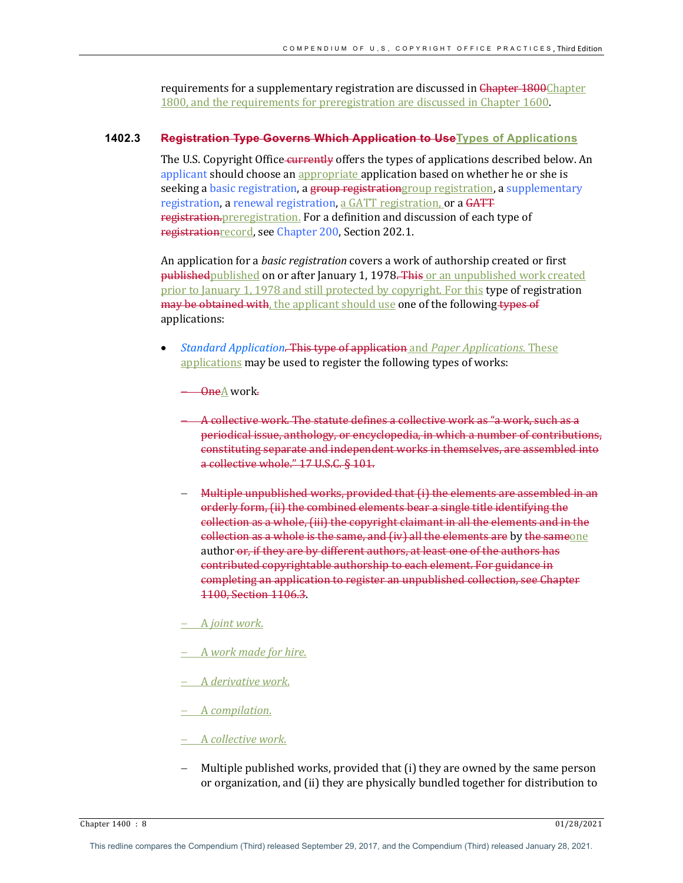requirements for a supplementary registration are discussed in Chapter 1800Chapter 1800, and the requirements for preregistration are discussed in Chapter 1600.

# **1402.3 Registration Type Governs Which Application to UseTypes of Applications**

The U.S. Copyright Office-currently offers the types of applications described below. An applicant should choose an appropriate application based on whether he or she is seeking a basic registration, a group registrationgroup registration, a supplementary registration, a renewal registration, a GATT registration, or a GATT registration.preregistration. For a definition and discussion of each type of registrationrecord, see Chapter 200, Section 202.1.

An application for a *basic registration* covers a work of authorship created or first publishedpublished on or after January 1, 1978. This or an unpublished work created prior to January 1, 1978 and still protected by copyright. For this type of registration may be obtained with, the applicant should use one of the following types of applications:

*Standard Application. This type of application and Paper Applications. These* applications may be used to register the following types of works:

OneA work.

A collective work. The statute defines a collective work as "a work, such as a periodical issue, anthology, or encyclopedia, in which a number of contributions, constituting separate and independent works in themselves, are assembled into a collective whole." 17 U.S.C. § 101.

- Multiple unpublished works, provided that  $(i)$  the elements are assembled in an orderly form, (ii) the combined elements bear a single title identifying the collection as a whole, (iii) the copyright claimant in all the elements and in the collection as a whole is the same, and (iv) all the elements are by the sameone author-or, if they are by different authors, at least one of the authors has contributed copyrightable authorship to each element. For guidance in completing an application to register an unpublished collection, see Chapter 1100, Section 1106.3.
- A *joint* work.
- A work made for hire.
- A *derivative work*.
- A *compilation*.

# - A *collective* work.

Multiple published works, provided that (i) they are owned by the same person or organization, and (ii) they are physically bundled together for distribution to

Chapter 1400 : 8 01/28/2021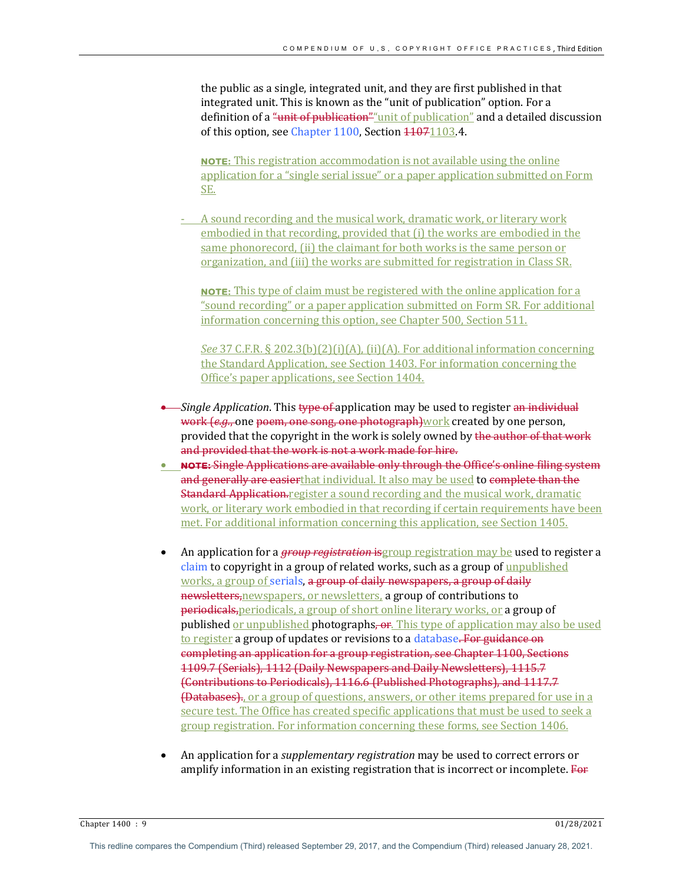the public as a single, integrated unit, and they are first published in that integrated unit. This is known as the "unit of publication" option. For a definition of a "unit of publication" unit of publication" and a detailed discussion of this option, see Chapter 1100, Section 44071103.4.

**NOTE:** This registration accommodation is not available using the online application for a "single serial issue" or a paper application submitted on Form SE. 

- A sound recording and the musical work, dramatic work, or literary work embodied in that recording, provided that (i) the works are embodied in the same phonorecord, (ii) the claimant for both works is the same person or organization, and (iii) the works are submitted for registration in Class SR.

**NOTE:** This type of claim must be registered with the online application for a "sound recording" or a paper application submitted on Form SR. For additional information concerning this option, see Chapter 500, Section 511.

See 37 C.F.R. § 202.3(b)(2)(i)(A), (ii)(A). For additional information concerning the Standard Application, see Section 1403. For information concerning the Office's paper applications, see Section 1404.

- *Single Application*. This type of application may be used to register an individual work (e.g., one poem, one song, one photograph) work created by one person, provided that the copyright in the work is solely owned by the author of that work and provided that the work is not a work made for hire.
- NOTE: Single Applications are available only through the Office's online filing system and generally are easierthat individual. It also may be used to complete than the **Standard Application.**register a sound recording and the musical work, dramatic work, or literary work embodied in that recording if certain requirements have been met. For additional information concerning this application, see Section 1405.
- An application for a *group registration* is group registration may be used to register a claim to copyright in a group of related works, such as a group of unpublished works, a group of serials, a group of daily newspapers, a group of daily newsletters, newspapers, or newsletters, a group of contributions to periodicals, periodicals, a group of short online literary works, or a group of published <u>or unpublished</u> photographs, or. This type of application may also be used to register a group of updates or revisions to a database. For guidance on completing an application for a group registration, see Chapter 1100, Sections 1109.7 (Serials), 1112 (Daily Newspapers and Daily Newsletters), 1115.7 (Contributions to Periodicals), 1116.6 (Published Photographs), and 1117.7 **(Databases)**, or a group of questions, answers, or other items prepared for use in a secure test. The Office has created specific applications that must be used to seek a group registration. For information concerning these forms, see Section 1406.
- An application for a *supplementary registration* may be used to correct errors or amplify information in an existing registration that is incorrect or incomplete. For

Chapter 1400 : 9 01/28/2021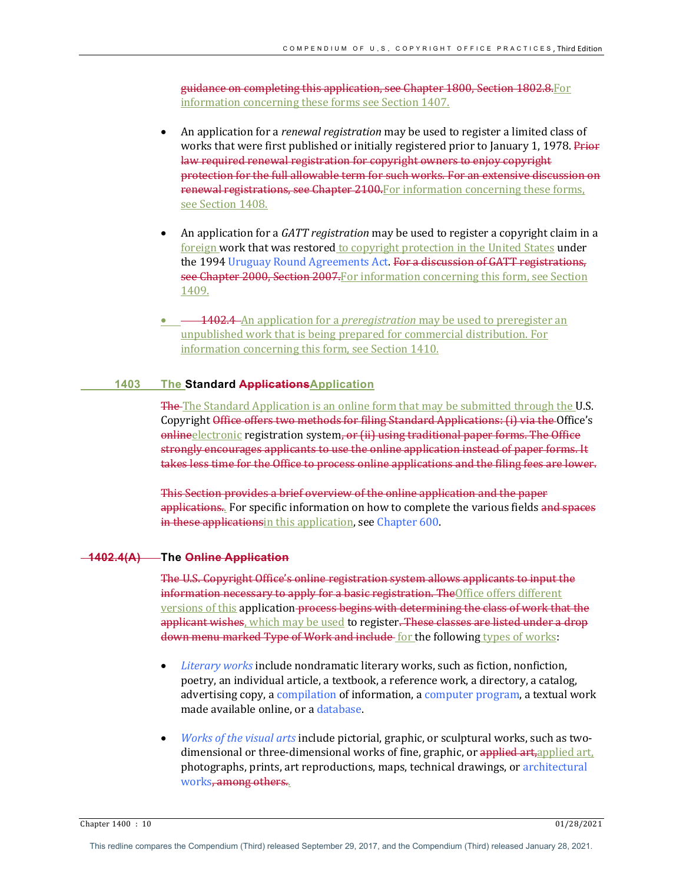guidance on completing this application, see Chapter 1800, Section 1802.8. For information concerning these forms see Section 1407.

- An application for a *renewal registration* may be used to register a limited class of works that were first published or initially registered prior to January 1, 1978. Prior law required renewal registration for copyright owners to enjoy copyright protection for the full allowable term for such works. For an extensive discussion on renewal registrations, see Chapter 2100. For information concerning these forms, see Section 1408.
- An application for a *GATT registration* may be used to register a copyright claim in a foreign work that was restored to copyright protection in the United States under the 1994 Uruguay Round Agreements Act. For a discussion of GATT registrations, see Chapter 2000, Section 2007. For information concerning this form, see Section 1409.
- $\longrightarrow$  1402.4 An application for a *preregistration* may be used to preregister an unpublished work that is being prepared for commercial distribution. For information concerning this form, see Section 1410.

## **1403 The Standard ApplicationsApplication**

**The** The Standard Application is an online form that may be submitted through the U.S. Copyright Office offers two methods for filing Standard Applications: (i) via the Office's onlineelectronic registration system, or (ii) using traditional paper forms. The Office strongly encourages applicants to use the online application instead of paper forms. It takes less time for the Office to process online applications and the filing fees are lower.

This Section provides a brief overview of the online application and the paper applications. For specific information on how to complete the various fields and spaces in these applications in this application, see Chapter 600.

# **1402.4(A) The Online Application**

The U.S. Copyright Office's online registration system allows applicants to input the information necessary to apply for a basic registration. The Office offers different versions of this application process begins with determining the class of work that the applicant wishes, which may be used to register. These classes are listed under a drop down menu marked Type of Work and include for the following types of works:

- Literary works include nondramatic literary works, such as fiction, nonfiction, poetry, an individual article, a textbook, a reference work, a directory, a catalog, advertising copy, a compilation of information, a computer program, a textual work made available online, or a database.
- *Works of the visual arts* include pictorial, graphic, or sculptural works, such as twodimensional or three-dimensional works of fine, graphic, or applied art, applied art, photographs, prints, art reproductions, maps, technical drawings, or architectural works, among others.

Chapter 1400 : 10 01/28/2021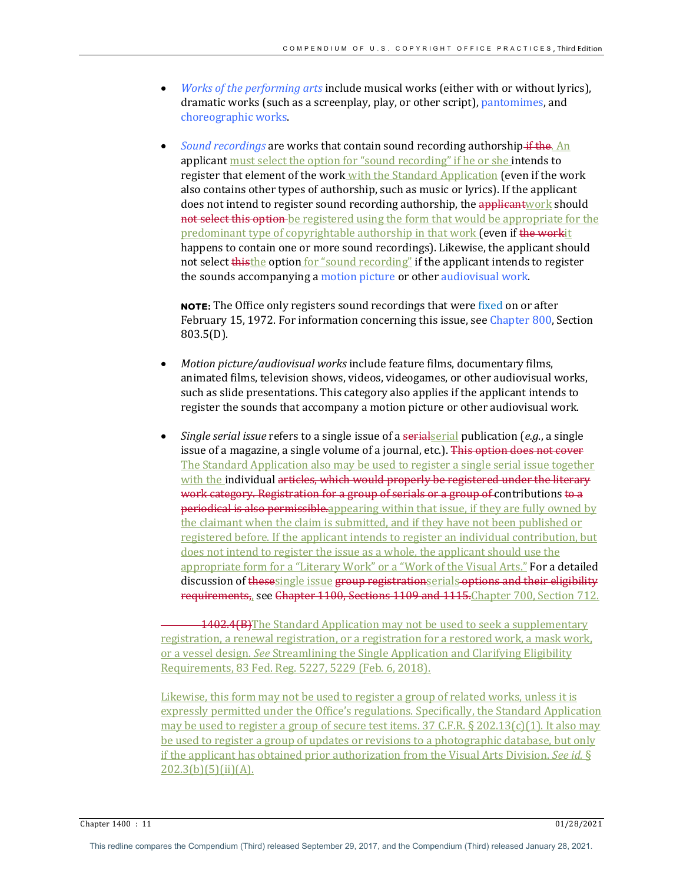- *Works of the performing arts* include musical works (either with or without lyrics), dramatic works (such as a screenplay, play, or other script), pantomimes, and choreographic works.
- *Sound recordings* are works that contain sound recording authorship if the. An applicant must select the option for "sound recording" if he or she intends to register that element of the work with the Standard Application (even if the work also contains other types of authorship, such as music or lyrics). If the applicant does not intend to register sound recording authorship, the applicantwork should **not select this option** be registered using the form that would be appropriate for the predominant type of copyrightable authorship in that work (even if the workit happens to contain one or more sound recordings). Likewise, the applicant should not select thisthe option for "sound recording" if the applicant intends to register the sounds accompanying a motion picture or other audiovisual work.

**NOTE:** The Office only registers sound recordings that were fixed on or after February 15, 1972. For information concerning this issue, see Chapter 800, Section 803.5(D).

- *Motion picture/audiovisual works* include feature films, documentary films, animated films, television shows, videos, videogames, or other audiovisual works, such as slide presentations. This category also applies if the applicant intends to register the sounds that accompany a motion picture or other audiovisual work.
- *Single serial issue* refers to a single issue of a serial serial publication  $(e.g., a \text{ single})$ issue of a magazine, a single volume of a journal, etc.). This option does not cover The Standard Application also may be used to register a single serial issue together with the individual articles, which would properly be registered under the literary work category. Registration for a group of serials or a group of contributions to a **periodical is also permissible**.appearing within that issue, if they are fully owned by the claimant when the claim is submitted, and if they have not been published or registered before. If the applicant intends to register an individual contribution, but does not intend to register the issue as a whole, the applicant should use the appropriate form for a "Literary Work" or a "Work of the Visual Arts." For a detailed discussion of thesesingle issue group registrationserials options and their eligibility requirements<sub>n</sub> see Chapter 1100, Sections 1109 and 1115. Chapter 700, Section 712.

1402.4(B) The Standard Application may not be used to seek a supplementary registration, a renewal registration, or a registration for a restored work, a mask work, or a vessel design. *See* Streamlining the Single Application and Clarifying Eligibility Requirements, 83 Fed. Reg. 5227, 5229 (Feb. 6, 2018).

Likewise, this form may not be used to register a group of related works, unless it is expressly permitted under the Office's regulations. Specifically, the Standard Application may be used to register a group of secure test items. 37 C.F.R.  $\S 202.13(c)(1)$ . It also may be used to register a group of updates or revisions to a photographic database, but only if the applicant has obtained prior authorization from the Visual Arts Division. *See id.* §  $202.3(b)(5)(ii)(A)$ .

Chapter 1400 : 11 01/28/2021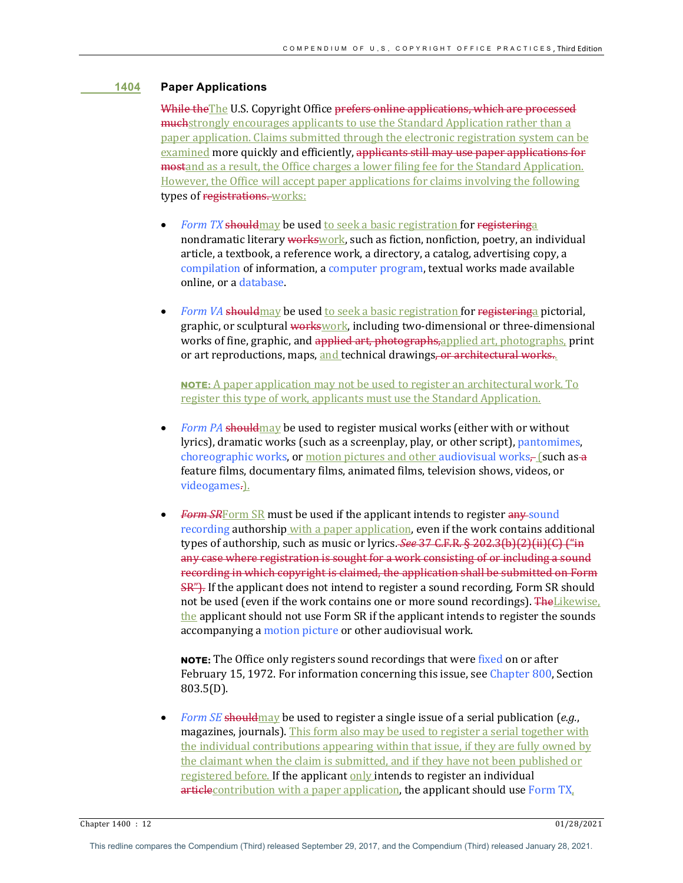# **1404 Paper Applications**

While the The U.S. Copyright Office prefers online applications, which are processed **much**strongly encourages applicants to use the Standard Application rather than a paper application. Claims submitted through the electronic registration system can be examined more quickly and efficiently, applicants still may use paper applications for **mostand** as a result, the Office charges a lower filing fee for the Standard Application. However, the Office will accept paper applications for claims involving the following types of registrations. works:

- *Form TX* should may be used to seek a basic registration for registering a nondramatic literary workswork, such as fiction, nonfiction, poetry, an individual article, a textbook, a reference work, a directory, a catalog, advertising copy, a compilation of information, a computer program, textual works made available online, or a database.
- *Form VA* should may be used to seek a basic registration for registering a pictorial, graphic, or sculptural workswork, including two-dimensional or three-dimensional works of fine, graphic, and applied art, photographs, applied art, photographs, print or art reproductions, maps, and technical drawings, or architectural works.

**NOTE:** A paper application may not be used to register an architectural work. To register this type of work, applicants must use the Standard Application.

- *Form PA* should may be used to register musical works (either with or without lyrics), dramatic works (such as a screenplay, play, or other script), pantomimes, choreographic works, or motion pictures and other audiovisual works, [such as a feature films, documentary films, animated films, television shows, videos, or videogames.).
- **Form SRF** orm SR must be used if the applicant intends to register any sound recording authorship with a paper application, even if the work contains additional types of authorship, such as music or lyrics. *See* 37 C.F.R. § 202.3(b)(2)(ii)(C) ("in any case where registration is sought for a work consisting of or including a sound recording in which copyright is claimed, the application shall be submitted on Form SR"). If the applicant does not intend to register a sound recording, Form SR should not be used (even if the work contains one or more sound recordings). The Likewise, the applicant should not use Form  $SR$  if the applicant intends to register the sounds accompanying a motion picture or other audiovisual work.

**NOTE:** The Office only registers sound recordings that were fixed on or after February 15, 1972. For information concerning this issue, see Chapter 800, Section 803.5(D).

*Form SE* should may be used to register a single issue of a serial publication (*e.g.*, magazines, journals). This form also may be used to register a serial together with the individual contributions appearing within that issue, if they are fully owned by the claimant when the claim is submitted, and if they have not been published or registered before. If the applicant only intends to register an individual  $article$  contribution with a paper application, the applicant should use Form  $TX<sub>1</sub>$ 

Chapter 1400 : 12 01/28/2021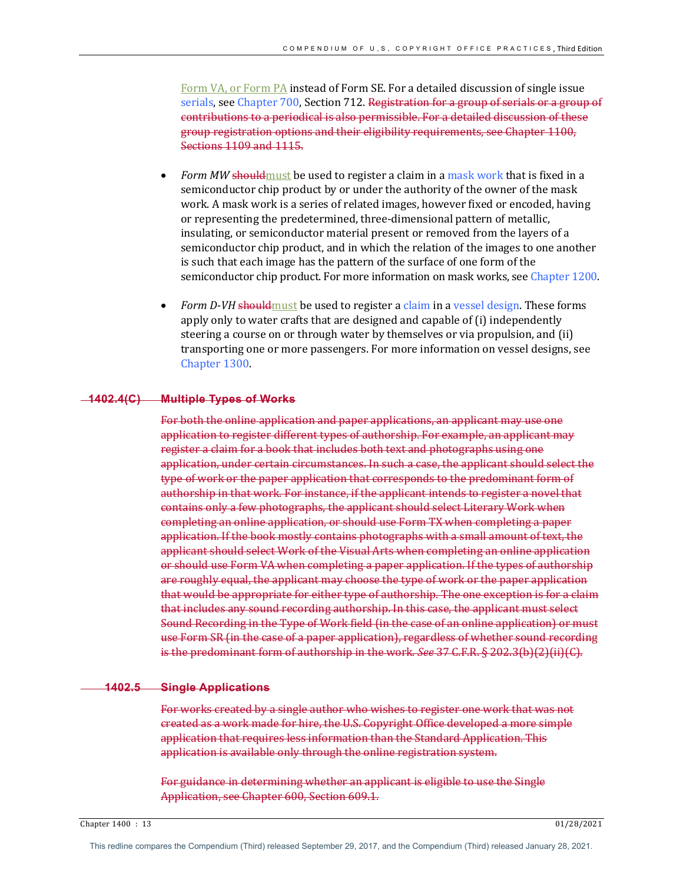Form VA, or Form PA instead of Form SE. For a detailed discussion of single issue serials, see Chapter 700, Section 712. Registration for a group of serials or a group of contributions to a periodical is also permissible. For a detailed discussion of these group registration options and their eligibility requirements, see Chapter 1100, Sections 1109 and 1115.

- *Form MW* should must be used to register a claim in a mask work that is fixed in a semiconductor chip product by or under the authority of the owner of the mask work. A mask work is a series of related images, however fixed or encoded, having or representing the predetermined, three-dimensional pattern of metallic, insulating, or semiconductor material present or removed from the layers of a semiconductor chip product, and in which the relation of the images to one another is such that each image has the pattern of the surface of one form of the semiconductor chip product. For more information on mask works, see Chapter 1200.
- *Form D-VH* should must be used to register a claim in a vessel design. These forms apply only to water crafts that are designed and capable of (i) independently steering a course on or through water by themselves or via propulsion, and (ii) transporting one or more passengers. For more information on vessel designs, see Chapter 1300.

#### **1402.4(C) Multiple Types of Works**

For both the online application and paper applications, an applicant may use one application to register different types of authorship. For example, an applicant may register a claim for a book that includes both text and photographs using one application, under certain circumstances. In such a case, the applicant should select the type of work or the paper application that corresponds to the predominant form of authorship in that work. For instance, if the applicant intends to register a novel that contains only a few photographs, the applicant should select Literary Work when completing an online application, or should use Form TX when completing a paper application. If the book mostly contains photographs with a small amount of text, the applicant should select Work of the Visual Arts when completing an online application or should use Form VA when completing a paper application. If the types of authorship are roughly equal, the applicant may choose the type of work or the paper application that would be appropriate for either type of authorship. The one exception is for a claim that includes any sound recording authorship. In this case, the applicant must select Sound Recording in the Type of Work field (in the case of an online application) or must use Form SR (in the case of a paper application), regardless of whether sound recording is the predominant form of authorship in the work. See 37 C.F.R. § 202.3(b)(2)(ii)(G).

## **1402.5 Single Applications**

For works created by a single author who wishes to register one work that was not created as a work made for hire, the U.S. Copyright Office developed a more simple application that requires less information than the Standard Application. This application is available only through the online registration system.

For guidance in determining whether an applicant is eligible to use the Single Application, see Chapter 600, Section 609.1.

Chapter 1400 : 13 01/28/2021

This redline compares the Compendium (Third) released September 29, 2017, and the Compendium (Third) released January 28, 2021.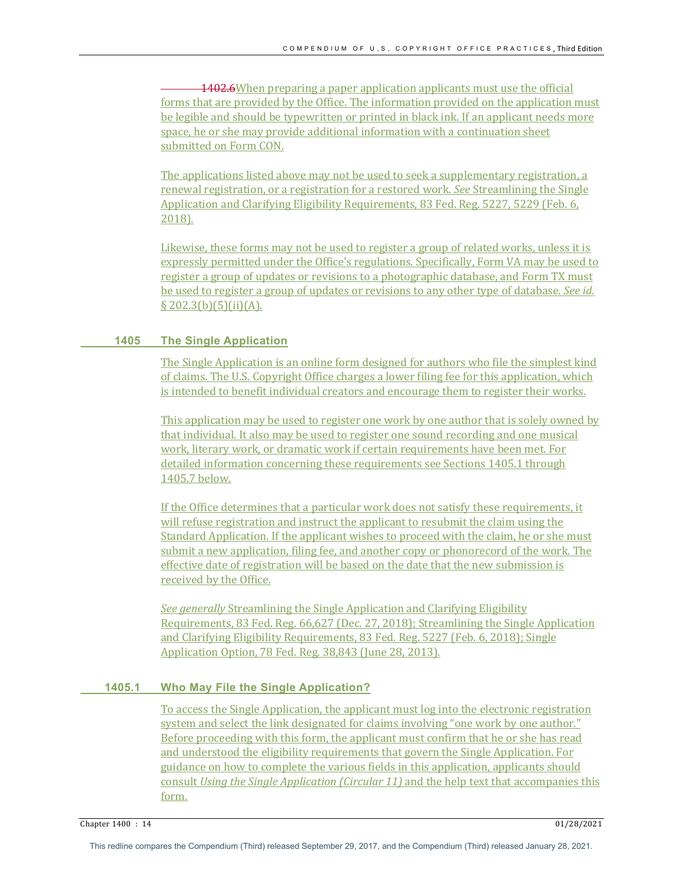1402.6When preparing a paper application applicants must use the official forms that are provided by the Office. The information provided on the application must be legible and should be typewritten or printed in black ink. If an applicant needs more space, he or she may provide additional information with a continuation sheet submitted on Form CON.

The applications listed above may not be used to seek a supplementary registration, a renewal registration, or a registration for a restored work. See Streamlining the Single Application and Clarifying Eligibility Requirements, 83 Fed. Reg. 5227, 5229 (Feb. 6, 2018).

Likewise, these forms may not be used to register a group of related works, unless it is expressly permitted under the Office's regulations. Specifically, Form VA may be used to register a group of updates or revisions to a photographic database, and Form TX must be used to register a group of updates or revisions to any other type of database. *See id.*  $\S$  202.3(b)(5)(ii)(A).

# **1405 The Single Application**

The Single Application is an online form designed for authors who file the simplest kind of claims. The U.S. Copyright Office charges a lower filing fee for this application, which is intended to benefit individual creators and encourage them to register their works.

This application may be used to register one work by one author that is solely owned by that individual. It also may be used to register one sound recording and one musical work, literary work, or dramatic work if certain requirements have been met. For detailed information concerning these requirements see Sections 1405.1 through 1405.7 below.

If the Office determines that a particular work does not satisfy these requirements, it will refuse registration and instruct the applicant to resubmit the claim using the Standard Application. If the applicant wishes to proceed with the claim, he or she must submit a new application, filing fee, and another copy or phonorecord of the work. The effective date of registration will be based on the date that the new submission is received by the Office.

*See generally* Streamlining the Single Application and Clarifying Eligibility Requirements, 83 Fed. Reg. 66,627 (Dec. 27, 2018); Streamlining the Single Application and Clarifying Eligibility Requirements, 83 Fed. Reg. 5227 (Feb. 6, 2018); Single Application Option, 78 Fed. Reg. 38,843 (June 28, 2013).

# **1405.1 Who May File the Single Application?**

To access the Single Application, the applicant must log into the electronic registration system and select the link designated for claims involving "one work by one author." Before proceeding with this form, the applicant must confirm that he or she has read and understood the eligibility requirements that govern the Single Application. For guidance on how to complete the various fields in this application, applicants should consult *Using the Single Application (Circular 11)* and the help text that accompanies this form.

Chapter 1400 : 14 01/28/2021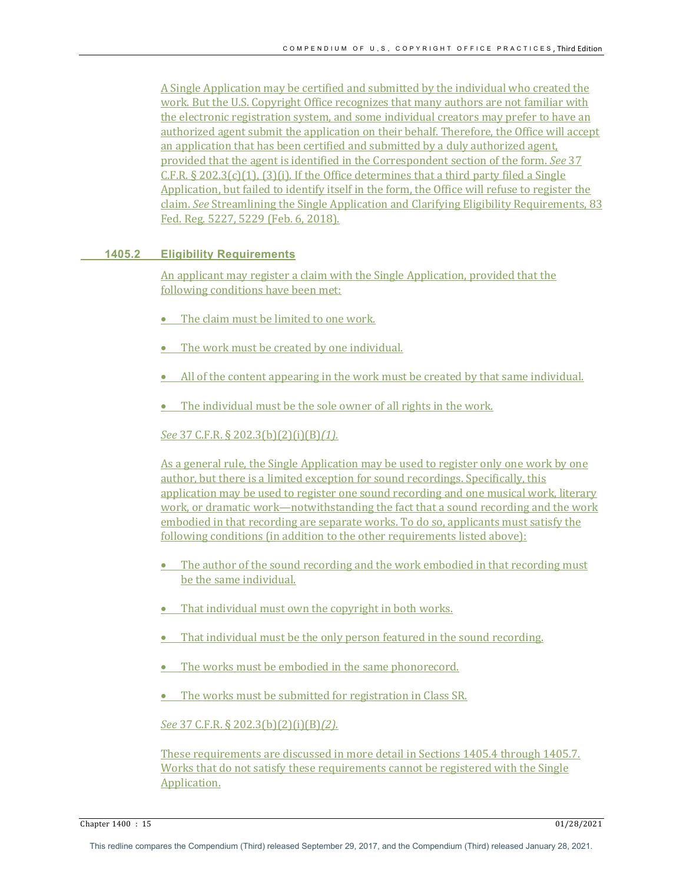A Single Application may be certified and submitted by the individual who created the work. But the U.S. Copyright Office recognizes that many authors are not familiar with the electronic registration system, and some individual creators may prefer to have an authorized agent submit the application on their behalf. Therefore, the Office will accept an application that has been certified and submitted by a duly authorized agent, provided that the agent is identified in the Correspondent section of the form. *See* 37 C.F.R.  $\S 202.3(c)(1)$ ,  $(3)(i)$ . If the Office determines that a third party filed a Single Application, but failed to identify itself in the form, the Office will refuse to register the claim. *See* Streamlining the Single Application and Clarifying Eligibility Requirements, 83 Fed. Reg. 5227, 5229 (Feb. 6, 2018).

## **1405.2 Eligibility Requirements**

An applicant may register a claim with the Single Application, provided that the following conditions have been met:

- The claim must be limited to one work.
- The work must be created by one individual.
- All of the content appearing in the work must be created by that same individual.
- The individual must be the sole owner of all rights in the work.

# *See* 37 C.F.R. § 202.3(b)(2)(i)(B)*(1).*

As a general rule, the Single Application may be used to register only one work by one author, but there is a limited exception for sound recordings. Specifically, this application may be used to register one sound recording and one musical work, literary work, or dramatic work—notwithstanding the fact that a sound recording and the work embodied in that recording are separate works. To do so, applicants must satisfy the following conditions (in addition to the other requirements listed above):

- The author of the sound recording and the work embodied in that recording must be the same individual.
- That individual must own the copyright in both works.
- That individual must be the only person featured in the sound recording.
- The works must be embodied in the same phonorecord.
- The works must be submitted for registration in Class SR.

# *See* 37 C.F.R. § 202.3(b)(2)(i)(B)*(2).*

These requirements are discussed in more detail in Sections 1405.4 through 1405.7. Works that do not satisfy these requirements cannot be registered with the Single Application.

Chapter 1400 : 15 01/28/2021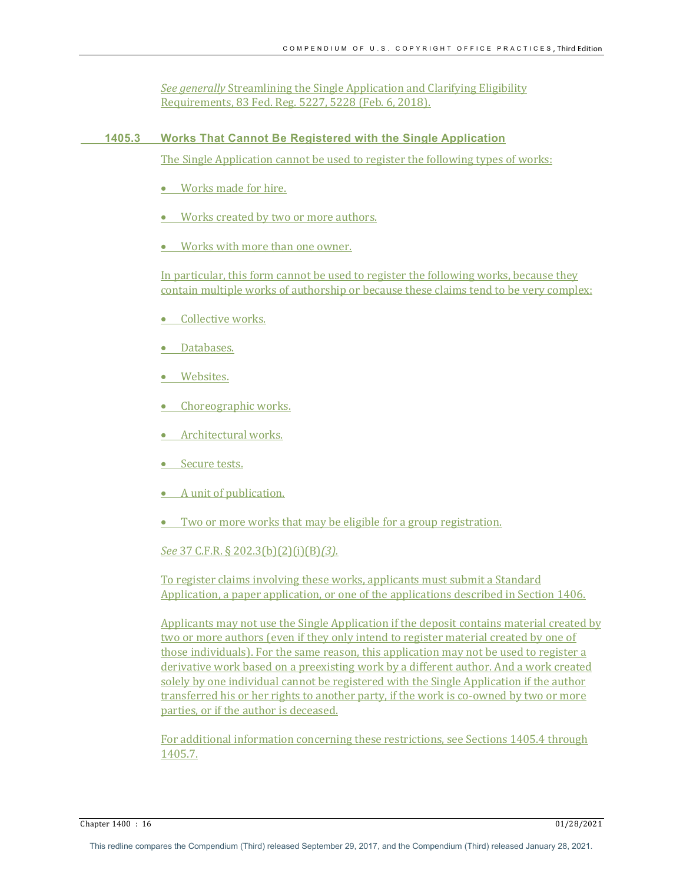*See generally* Streamlining the Single Application and Clarifying Eligibility Requirements, 83 Fed. Reg. 5227, 5228 (Feb. 6, 2018).

# **1405.3 Works That Cannot Be Registered with the Single Application**

The Single Application cannot be used to register the following types of works:

- Works made for hire.
- Works created by two or more authors.
- Works with more than one owner.

In particular, this form cannot be used to register the following works, because they contain multiple works of authorship or because these claims tend to be very complex:

- Collective works.
- Databases.
- Websites.
- Choreographic works.
- Architectural works.
- Secure tests.
- $\bullet$  A unit of publication.
- Two or more works that may be eligible for a group registration.

# *See* 37 C.F.R. § 202.3(b)(2)(i)(B)*(3).*

To register claims involving these works, applicants must submit a Standard Application, a paper application, or one of the applications described in Section 1406.

Applicants may not use the Single Application if the deposit contains material created by two or more authors (even if they only intend to register material created by one of those individuals). For the same reason, this application may not be used to register a derivative work based on a preexisting work by a different author. And a work created solely by one individual cannot be registered with the Single Application if the author transferred his or her rights to another party, if the work is co-owned by two or more parties, or if the author is deceased.

For additional information concerning these restrictions, see Sections 1405.4 through 1405.7.

Chapter 1400 : 16 01/28/2021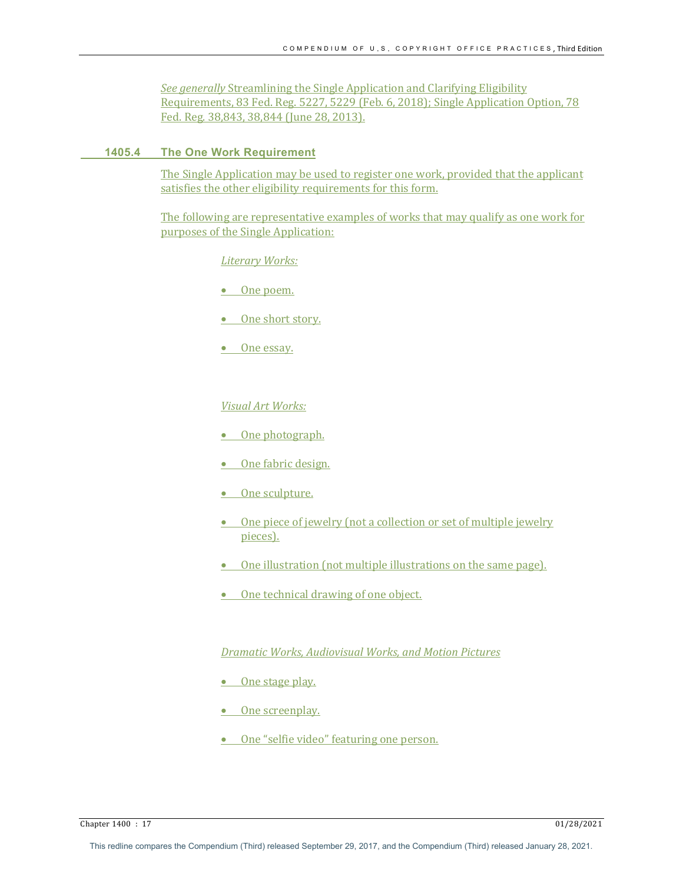*See generally* Streamlining the Single Application and Clarifying Eligibility Requirements, 83 Fed. Reg. 5227, 5229 (Feb. 6, 2018); Single Application Option, 78 Fed. Reg. 38,843, 38,844 (June 28, 2013).

## **1405.4 The One Work Requirement**

The Single Application may be used to register one work, provided that the applicant satisfies the other eligibility requirements for this form.

The following are representative examples of works that may qualify as one work for purposes of the Single Application:

*Literary Works:*

- One poem.
- One short story.
- One essay.

#### *Visual Art Works:*

- One photograph.
- One fabric design.
- One sculpture.
- One piece of jewelry (not a collection or set of multiple jewelry pieces).
- $\bullet$  One illustration (not multiple illustrations on the same page).
- One technical drawing of one object.

# *Dramatic Works, Audiovisual Works, and Motion Pictures*

- One stage play.
- One screenplay.
- One "selfie video" featuring one person.

Chapter 1400 : 17 01/28/2021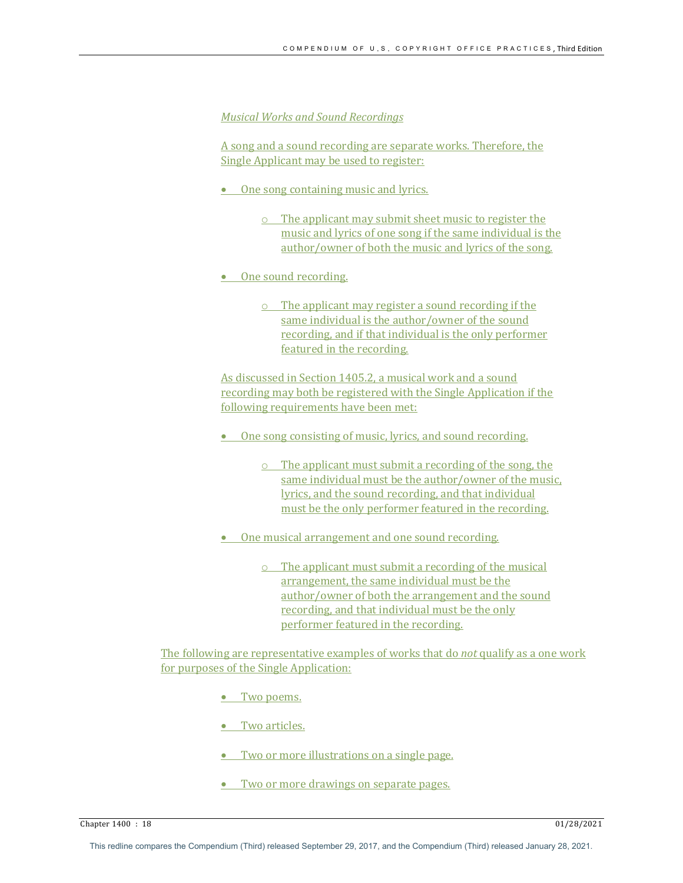## *Musical Works and Sound Recordings*

A song and a sound recording are separate works. Therefore, the Single Applicant may be used to register:

- One song containing music and lyrics.
	- $\circ$  The applicant may submit sheet music to register the music and lyrics of one song if the same individual is the author/owner of both the music and lyrics of the song.
- One sound recording.
	- $\circ$  The applicant may register a sound recording if the same individual is the author/owner of the sound recording, and if that individual is the only performer featured in the recording.

As discussed in Section 1405.2, a musical work and a sound recording may both be registered with the Single Application if the following requirements have been met:

- One song consisting of music, lyrics, and sound recording.
	- $\circ$  The applicant must submit a recording of the song, the same individual must be the author/owner of the music, lyrics, and the sound recording, and that individual must be the only performer featured in the recording.
- One musical arrangement and one sound recording.
	- $\circ$  The applicant must submit a recording of the musical arrangement, the same individual must be the author/owner of both the arrangement and the sound recording, and that individual must be the only performer featured in the recording.

The following are representative examples of works that do *not* qualify as a one work for purposes of the Single Application:

• Two poems.

• Two articles.

- Two or more illustrations on a single page.
- Two or more drawings on separate pages.

Chapter 1400 : 18 01/28/2021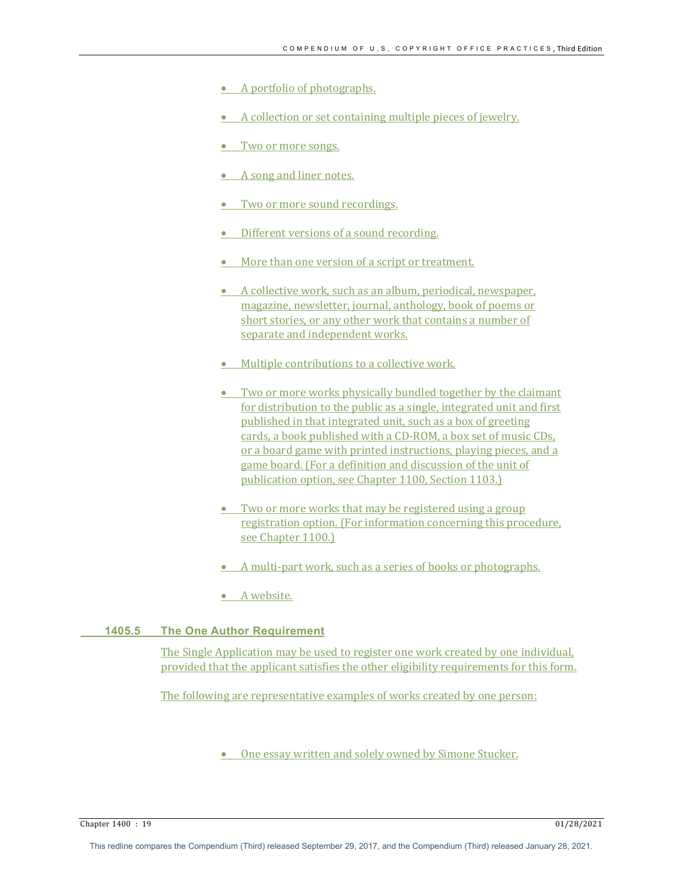- A portfolio of photographs.
- A collection or set containing multiple pieces of jewelry.
- Two or more songs.
- A song and liner notes.
- Two or more sound recordings.
- Different versions of a sound recording.
- More than one version of a script or treatment.
- A collective work, such as an album, periodical, newspaper, magazine, newsletter, journal, anthology, book of poems or short stories, or any other work that contains a number of separate and independent works.
- Multiple contributions to a collective work.
- Two or more works physically bundled together by the claimant for distribution to the public as a single, integrated unit and first published in that integrated unit, such as a box of greeting cards, a book published with a CD-ROM, a box set of music CDs, or a board game with printed instructions, playing pieces, and a game board. (For a definition and discussion of the unit of publication option, see Chapter 1100, Section 1103.)
- Two or more works that may be registered using a group registration option. (For information concerning this procedure, see Chapter 1100.)
- A multi-part work, such as a series of books or photographs.
- A website.

# **1405.5 The One Author Requirement**

The Single Application may be used to register one work created by one individual, provided that the applicant satisfies the other eligibility requirements for this form.

The following are representative examples of works created by one person:

• One essay written and solely owned by Simone Stucker.

Chapter 1400 : 19 01/28/2021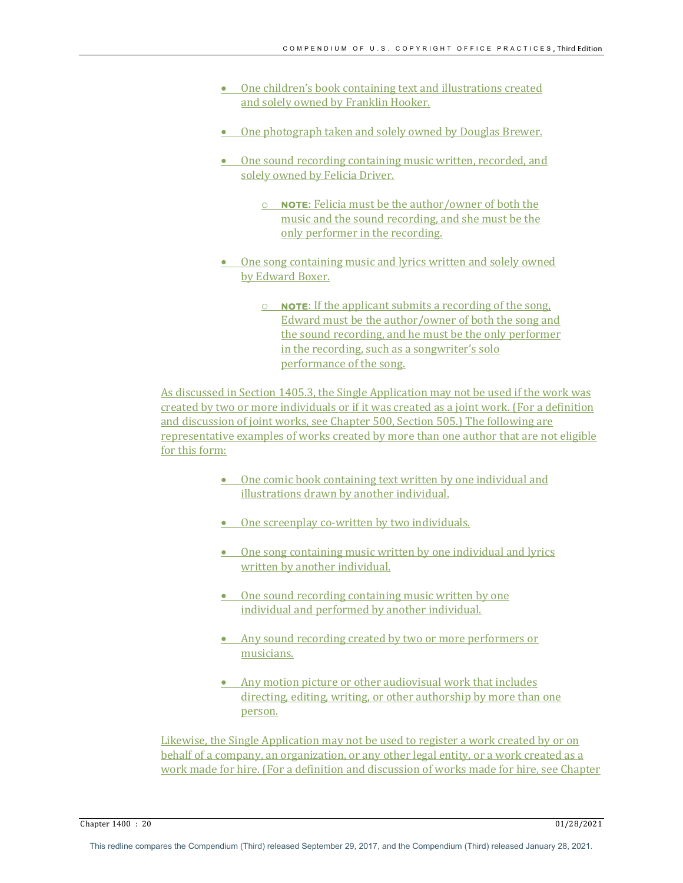- One children's book containing text and illustrations created and solely owned by Franklin Hooker.
- One photograph taken and solely owned by Douglas Brewer.
- One sound recording containing music written, recorded, and solely owned by Felicia Driver.
	- **O NOTE:** Felicia must be the author/owner of both the music and the sound recording, and she must be the only performer in the recording.
- One song containing music and lyrics written and solely owned by Edward Boxer.
	- o **NOTE:** If the applicant submits a recording of the song, Edward must be the author/owner of both the song and the sound recording, and he must be the only performer in the recording, such as a songwriter's solo performance of the song.

As discussed in Section 1405.3, the Single Application may not be used if the work was created by two or more individuals or if it was created as a joint work. (For a definition and discussion of joint works, see Chapter 500, Section 505.) The following are representative examples of works created by more than one author that are not eligible for this form:

- One comic book containing text written by one individual and illustrations drawn by another individual.
- One screenplay co-written by two individuals.
- One song containing music written by one individual and lyrics written by another individual.
- One sound recording containing music written by one individual and performed by another individual.
- Any sound recording created by two or more performers or musicians.
- Any motion picture or other audiovisual work that includes directing, editing, writing, or other authorship by more than one person.

Likewise, the Single Application may not be used to register a work created by or on behalf of a company, an organization, or any other legal entity, or a work created as a work made for hire. (For a definition and discussion of works made for hire, see Chapter

Chapter 1400 : 20 01/28/2021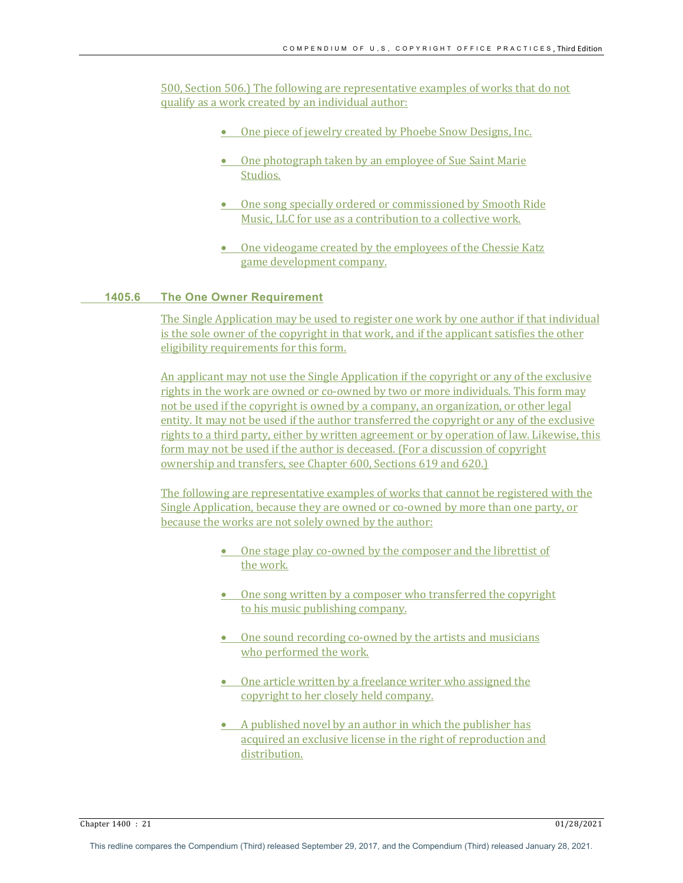500, Section 506.) The following are representative examples of works that do not qualify as a work created by an individual author:

- One piece of jewelry created by Phoebe Snow Designs, Inc.
- One photograph taken by an employee of Sue Saint Marie Studios.
- One song specially ordered or commissioned by Smooth Ride Music, LLC for use as a contribution to a collective work.
- One videogame created by the employees of the Chessie Katz game development company.

# **1405.6 The One Owner Requirement**

The Single Application may be used to register one work by one author if that individual is the sole owner of the copyright in that work, and if the applicant satisfies the other eligibility requirements for this form.

An applicant may not use the Single Application if the copyright or any of the exclusive rights in the work are owned or co-owned by two or more individuals. This form may not be used if the copyright is owned by a company, an organization, or other legal entity. It may not be used if the author transferred the copyright or any of the exclusive rights to a third party, either by written agreement or by operation of law. Likewise, this form may not be used if the author is deceased. (For a discussion of copyright ownership and transfers, see Chapter 600, Sections 619 and 620.)

The following are representative examples of works that cannot be registered with the Single Application, because they are owned or co-owned by more than one party, or because the works are not solely owned by the author:

- One stage play co-owned by the composer and the librettist of the work.
- $\bullet$  One song written by a composer who transferred the copyright to his music publishing company.
- One sound recording co-owned by the artists and musicians who performed the work.
- One article written by a freelance writer who assigned the copyright to her closely held company.
- A published novel by an author in which the publisher has acquired an exclusive license in the right of reproduction and distribution.

Chapter 1400 : 21 01/28/2021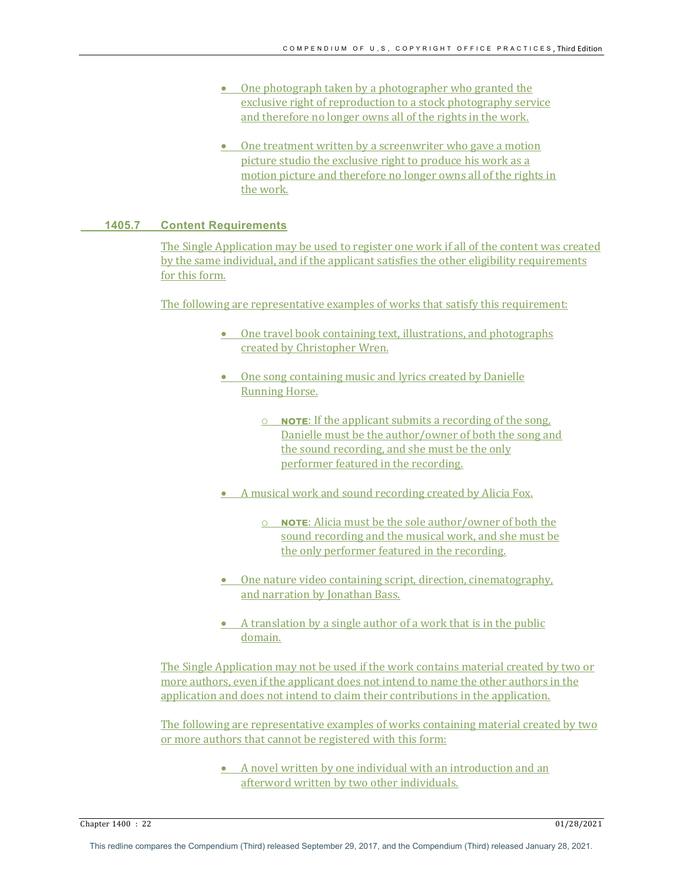- One photograph taken by a photographer who granted the exclusive right of reproduction to a stock photography service and therefore no longer owns all of the rights in the work.
- $\bullet$  One treatment written by a screenwriter who gave a motion picture studio the exclusive right to produce his work as a motion picture and therefore no longer owns all of the rights in the work.

#### **1405.7 Content Requirements**

The Single Application may be used to register one work if all of the content was created by the same individual, and if the applicant satisfies the other eligibility requirements for this form.

The following are representative examples of works that satisfy this requirement:

- $\bullet$  One travel book containing text, illustrations, and photographs created by Christopher Wren.
- One song containing music and lyrics created by Danielle **Running Horse.** 
	- **O NOTE:** If the applicant submits a recording of the song, Danielle must be the author/owner of both the song and the sound recording, and she must be the only performer featured in the recording.
- A musical work and sound recording created by Alicia Fox.
	- o **NOTE:** Alicia must be the sole author/owner of both the sound recording and the musical work, and she must be the only performer featured in the recording.
- One nature video containing script, direction, cinematography, and narration by Jonathan Bass.
- A translation by a single author of a work that is in the public domain.

The Single Application may not be used if the work contains material created by two or more authors, even if the applicant does not intend to name the other authors in the application and does not intend to claim their contributions in the application.

The following are representative examples of works containing material created by two or more authors that cannot be registered with this form:

> • A novel written by one individual with an introduction and an afterword written by two other individuals.

Chapter 1400 : 22 01/28/2021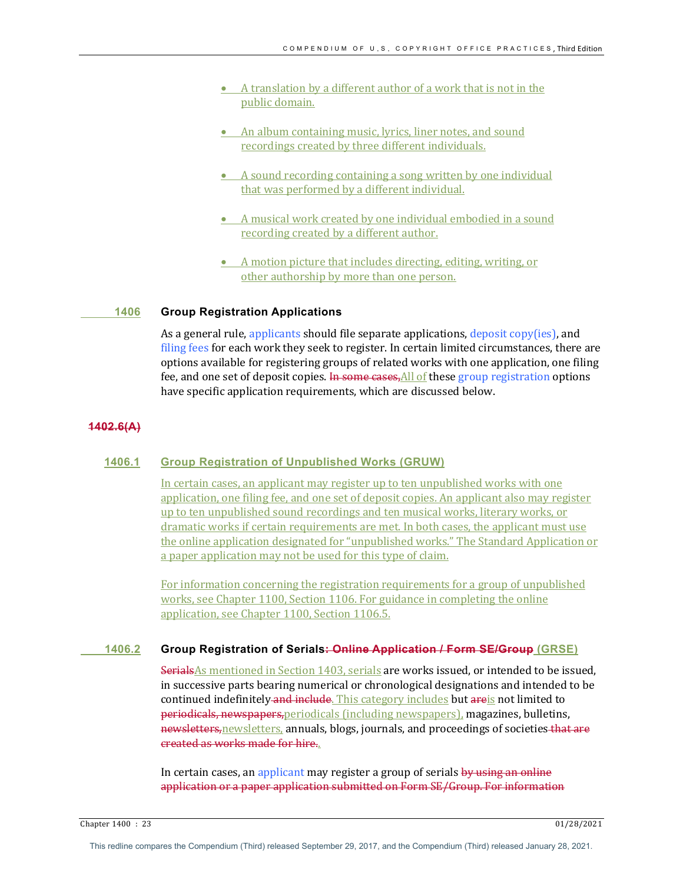- A translation by a different author of a work that is not in the public domain.
- An album containing music, lyrics, liner notes, and sound recordings created by three different individuals.
- A sound recording containing a song written by one individual that was performed by a different individual.
- A musical work created by one individual embodied in a sound recording created by a different author.
- A motion picture that includes directing, editing, writing, or other authorship by more than one person.

#### **1406 Group Registration Applications**

As a general rule, applicants should file separate applications, deposit  $\text{copy(ies)}$ , and filing fees for each work they seek to register. In certain limited circumstances, there are options available for registering groups of related works with one application, one filing fee, and one set of deposit copies. In some cases, All of these group registration options have specific application requirements, which are discussed below.

#### **1402.6(A)**

# **1406.1 Group Registration of Unpublished Works (GRUW)**

In certain cases, an applicant may register up to ten unpublished works with one application, one filing fee, and one set of deposit copies. An applicant also may register up to ten unpublished sound recordings and ten musical works, literary works, or dramatic works if certain requirements are met. In both cases, the applicant must use the online application designated for "unpublished works." The Standard Application or a paper application may not be used for this type of claim.

For information concerning the registration requirements for a group of unpublished works, see Chapter 1100, Section 1106. For guidance in completing the online application, see Chapter 1100, Section 1106.5.

#### **1406.2 Group Registration of Serials: Online Application / Form SE/Group (GRSE)**

SerialsAs mentioned in Section 1403, serials are works issued, or intended to be issued, in successive parts bearing numerical or chronological designations and intended to be continued indefinitely and include. This category includes but areis not limited to periodicals, newspapers, periodicals (including newspapers), magazines, bulletins, newsletters, newsletters, annuals, blogs, journals, and proceedings of societies that are created as works made for hire..

In certain cases, an applicant may register a group of serials by using an online application or a paper application submitted on Form SE/Group. For information

Chapter 1400 : 23 01/28/2021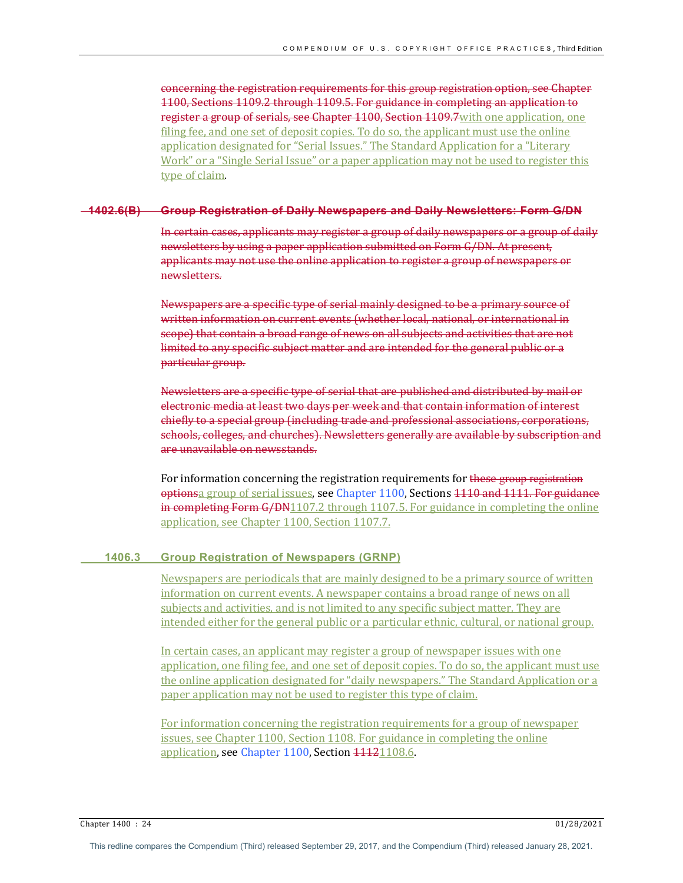concerning the registration requirements for this group registration option, see Chapter 1100, Sections 1109.2 through 1109.5. For guidance in completing an application to register a group of serials, see Chapter 1100, Section 1109.7 with one application, one filing fee, and one set of deposit copies. To do so, the applicant must use the online application designated for "Serial Issues." The Standard Application for a "Literary Work" or a "Single Serial Issue" or a paper application may not be used to register this type of claim.

#### **1402.6(B) Group Registration of Daily Newspapers and Daily Newsletters: Form G/DN**

In certain cases, applicants may register a group of daily newspapers or a group of daily newsletters by using a paper application submitted on Form G/DN. At present, applicants may not use the online application to register a group of newspapers or newsletters.

Newspapers are a specific type of serial mainly designed to be a primary source of written information on current events (whether local, national, or international in scope) that contain a broad range of news on all subjects and activities that are not limited to any specific subject matter and are intended for the general public or a particular group.

Newsletters are a specific type of serial that are published and distributed by mail or electronic media at least two days per week and that contain information of interest chiefly to a special group (including trade and professional associations, corporations, schools, colleges, and churches). Newsletters generally are available by subscription and are unavailable on newsstands.

For information concerning the registration requirements for these group registration optionsa group of serial issues, see Chapter 1100, Sections 1110 and 1111. For guidance in completing Form  $G/DN1107.2$  through 1107.5. For guidance in completing the online application, see Chapter 1100, Section 1107.7.

# **1406.3 Group Registration of Newspapers (GRNP)**

Newspapers are periodicals that are mainly designed to be a primary source of written information on current events. A newspaper contains a broad range of news on all subjects and activities, and is not limited to any specific subject matter. They are intended either for the general public or a particular ethnic, cultural, or national group.

In certain cases, an applicant may register a group of newspaper issues with one application, one filing fee, and one set of deposit copies. To do so, the applicant must use the online application designated for "daily newspapers." The Standard Application or a paper application may not be used to register this type of claim.

For information concerning the registration requirements for a group of newspaper issues, see Chapter 1100, Section 1108. For guidance in completing the online application, see Chapter 1100, Section 44421108.6.

Chapter 1400 : 24 01/28/2021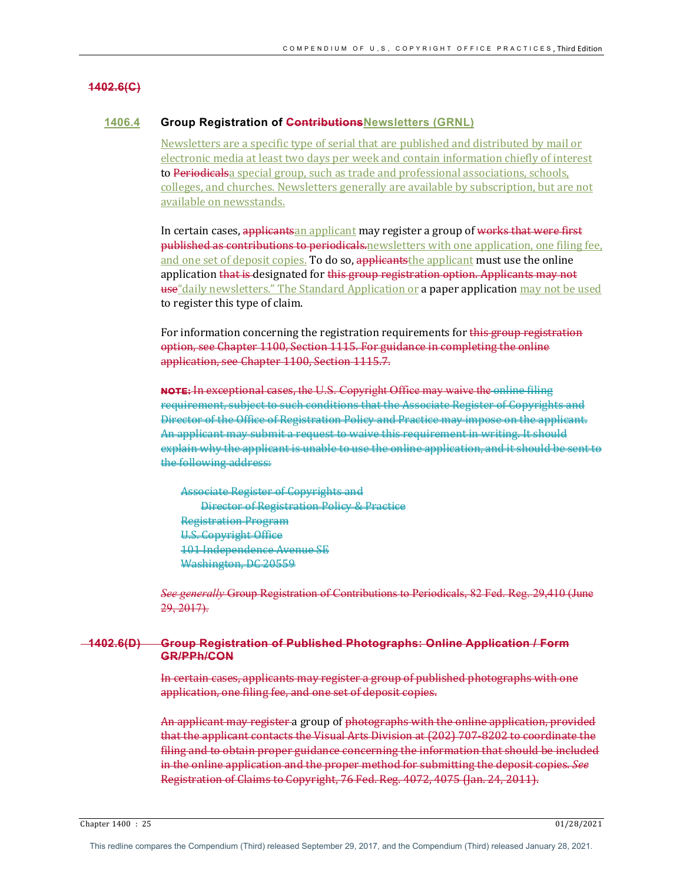# **1402.6(C)**

## **1406.4 Group Registration of ContributionsNewsletters (GRNL)**

Newsletters are a specific type of serial that are published and distributed by mail or electronic media at least two days per week and contain information chiefly of interest to Periodicalsa special group, such as trade and professional associations, schools, colleges, and churches. Newsletters generally are available by subscription, but are not available on newsstands.

In certain cases, applicantsan applicant may register a group of works that were first published as contributions to periodicals newsletters with one application, one filing fee, and one set of deposit copies. To do so, applicants the applicant must use the online application that is designated for this group registration option. Applicants may not use "daily newsletters." The Standard Application or a paper application may not be used to register this type of claim.

For information concerning the registration requirements for this group registration option, see Chapter 1100, Section 1115. For guidance in completing the online application, see Chapter 1100, Section 1115.7.

**NOTE:** In exceptional cases, the U.S. Copyright Office may waive the online filing requirement, subject to such conditions that the Associate Register of Copyrights and Director of the Office of Registration Policy and Practice may impose on the applicant. An applicant may submit a request to waive this requirement in writing. It should explain why the applicant is unable to use the online application, and it should be sent to the following address:

Associate Register of Copyrights and **Director of Registration Policy & Practice** Registration Program U.S. Copyright Office 101 Independence Avenue SE Washington, DC 20559

*See generally* Group Registration of Contributions to Periodicals, 82 Fed. Reg. 29,410 (June 29, 2017).

## **1402.6(D) Group Registration of Published Photographs: Online Application / Form GR/PPh/CON**

In certain cases, applicants may register a group of published photographs with one application, one filing fee, and one set of deposit copies.

An applicant may register a group of photographs with the online application, provided that the applicant contacts the Visual Arts Division at (202) 707-8202 to coordinate the filing and to obtain proper guidance concerning the information that should be included in the online application and the proper method for submitting the deposit copies. *See* Registration of Claims to Copyright, 76 Fed. Reg. 4072, 4075 (Jan. 24, 2011).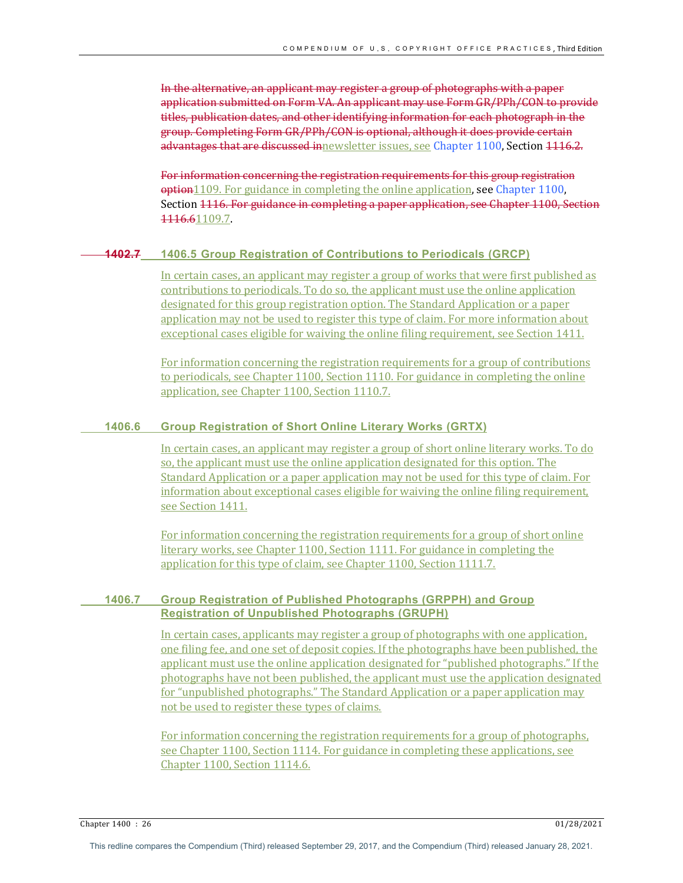In the alternative, an applicant may register a group of photographs with a paper application submitted on Form VA. An applicant may use Form GR/PPh/CON to provide titles, publication dates, and other identifying information for each photograph in the group. Completing Form GR/PPh/CON is optional, although it does provide certain advantages that are discussed innewsletter issues, see Chapter 1100, Section 4446.2.

For information concerning the registration requirements for this group registration option1109. For guidance in completing the online application, see Chapter 1100, Section 1116. For guidance in completing a paper application, see Chapter 1100, Section 1116.61109.7.

## **1402.7 1406.5 Group Registration of Contributions to Periodicals (GRCP)**

In certain cases, an applicant may register a group of works that were first published as contributions to periodicals. To do so, the applicant must use the online application designated for this group registration option. The Standard Application or a paper application may not be used to register this type of claim. For more information about exceptional cases eligible for waiving the online filing requirement, see Section 1411.

For information concerning the registration requirements for a group of contributions to periodicals, see Chapter  $1100$ , Section  $1110$ . For guidance in completing the online application, see Chapter 1100, Section 1110.7.

## **1406.6 Group Registration of Short Online Literary Works (GRTX)**

In certain cases, an applicant may register a group of short online literary works. To do so, the applicant must use the online application designated for this option. The Standard Application or a paper application may not be used for this type of claim. For information about exceptional cases eligible for waiving the online filing requirement, see Section 1411.

For information concerning the registration requirements for a group of short online literary works, see Chapter 1100, Section 1111. For guidance in completing the application for this type of claim, see Chapter 1100, Section 1111.7.

# **1406.7 Group Registration of Published Photographs (GRPPH) and Group Registration of Unpublished Photographs (GRUPH)**

In certain cases, applicants may register a group of photographs with one application, one filing fee, and one set of deposit copies. If the photographs have been published, the applicant must use the online application designated for "published photographs." If the photographs have not been published, the applicant must use the application designated for "unpublished photographs." The Standard Application or a paper application may not be used to register these types of claims.

For information concerning the registration requirements for a group of photographs, see Chapter 1100, Section 1114. For guidance in completing these applications, see Chapter 1100, Section 1114.6.

Chapter 1400 : 26 01/28/2021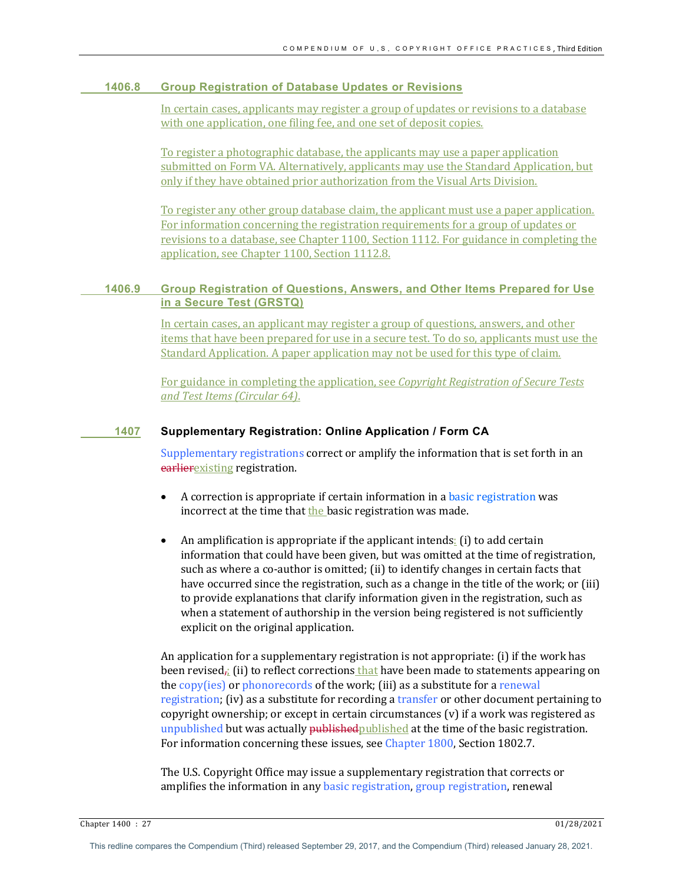# **1406.8 Group Registration of Database Updates or Revisions**

In certain cases, applicants may register a group of updates or revisions to a database with one application, one filing fee, and one set of deposit copies.

To register a photographic database, the applicants may use a paper application submitted on Form VA. Alternatively, applicants may use the Standard Application, but only if they have obtained prior authorization from the Visual Arts Division.

To register any other group database claim, the applicant must use a paper application. For information concerning the registration requirements for a group of updates or revisions to a database, see Chapter 1100, Section 1112. For guidance in completing the application, see Chapter 1100, Section 1112.8.

# **1406.9 Group Registration of Questions, Answers, and Other Items Prepared for Use in a Secure Test (GRSTQ)**

In certain cases, an applicant may register a group of questions, answers, and other items that have been prepared for use in a secure test. To do so, applicants must use the Standard Application. A paper application may not be used for this type of claim.

For guidance in completing the application, see *Copyright Registration of Secure Tests and Test Items (Circular 64)*.

## **1407 Supplementary Registration: Online Application / Form CA**

Supplementary registrations correct or amplify the information that is set forth in an earlierexisting registration. 

- A correction is appropriate if certain information in a basic registration was incorrect at the time that the basic registration was made.
- An amplification is appropriate if the applicant intends: (i) to add certain information that could have been given, but was omitted at the time of registration, such as where a co-author is omitted; (ii) to identify changes in certain facts that have occurred since the registration, such as a change in the title of the work; or (iii) to provide explanations that clarify information given in the registration, such as when a statement of authorship in the version being registered is not sufficiently explicit on the original application.

An application for a supplementary registration is not appropriate:  $(i)$  if the work has been revised<sub> $\vec{a}$ </sub> (ii) to reflect corrections that have been made to statements appearing on the  $\frac{copy(ies)}{op}$  or phonorecords of the work; (iii) as a substitute for a renewal registration; (iv) as a substitute for recording a transfer or other document pertaining to copyright ownership; or except in certain circumstances  $(v)$  if a work was registered as unpublished but was actually published published at the time of the basic registration. For information concerning these issues, see Chapter 1800, Section 1802.7.

The U.S. Copyright Office may issue a supplementary registration that corrects or amplifies the information in any basic registration, group registration, renewal

Chapter 1400 : 27 01/28/2021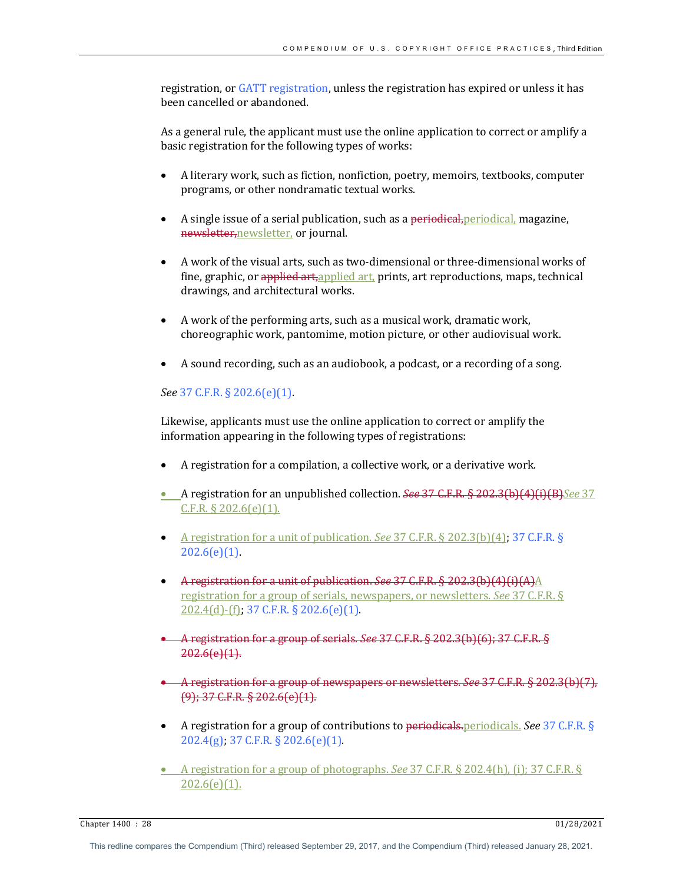registration, or GATT registration, unless the registration has expired or unless it has been cancelled or abandoned.

As a general rule, the applicant must use the online application to correct or amplify a basic registration for the following types of works:

- A literary work, such as fiction, nonfiction, poetry, memoirs, textbooks, computer programs, or other nondramatic textual works.
- A single issue of a serial publication, such as a periodical, periodical, magazine, newsletter, newsletter, or journal.
- A work of the visual arts, such as two-dimensional or three-dimensional works of fine, graphic, or applied art, applied art, prints, art reproductions, maps, technical drawings, and architectural works.
- A work of the performing arts, such as a musical work, dramatic work, choreographic work, pantomime, motion picture, or other audiovisual work.
- A sound recording, such as an audiobook, a podcast, or a recording of a song.

# *See* 37 C.F.R. § 202.6(e)(1).

Likewise, applicants must use the online application to correct or amplify the information appearing in the following types of registrations:

- A registration for a compilation, a collective work, or a derivative work.
- **•** A registration for an unpublished collection. *See* 37 C.F.R. § 202.3(b)(4)(i)(B)*See* 37  $C.F.R. \S 202.6(e)(1)$ .
- A registration for a unit of publication. *See* 37 C.F.R. § 202.3(b)(4), 37 C.F.R. §  $202.6(e)(1)$ .
- A registration for a unit of publication. See 37 C.F.R. § 202.3(b)(4)(i)(A)A registration for a group of serials, newspapers, or newsletters. *See* 37 C.F.R. §  $202.4$ (d)-(f); 37 C.F.R. § 202.6(e)(1).
- A registration for a group of serials. *See* 37 C.F.R. § 202.3(b)(6); 37 C.F.R. §  $202.6(e)(1)$ .
- A registration for a group of newspapers or newsletters. *See* 37 C.F.R. § 202.3(b)(7),  $(9)$ ; 37 C.F.R. § 202.6(e)(1).
- A registration for a group of contributions to periodicals. periodicals. *See* 37 C.F.R. §  $202.4(g)$ ; 37 C.F.R. § 202.6(e)(1).
- A registration for a group of photographs. *See* 37 C.F.R. § 202.4(h), (i): 37 C.F.R. §  $202.6(e)(1)$ .

Chapter 1400 : 28 01/28/2021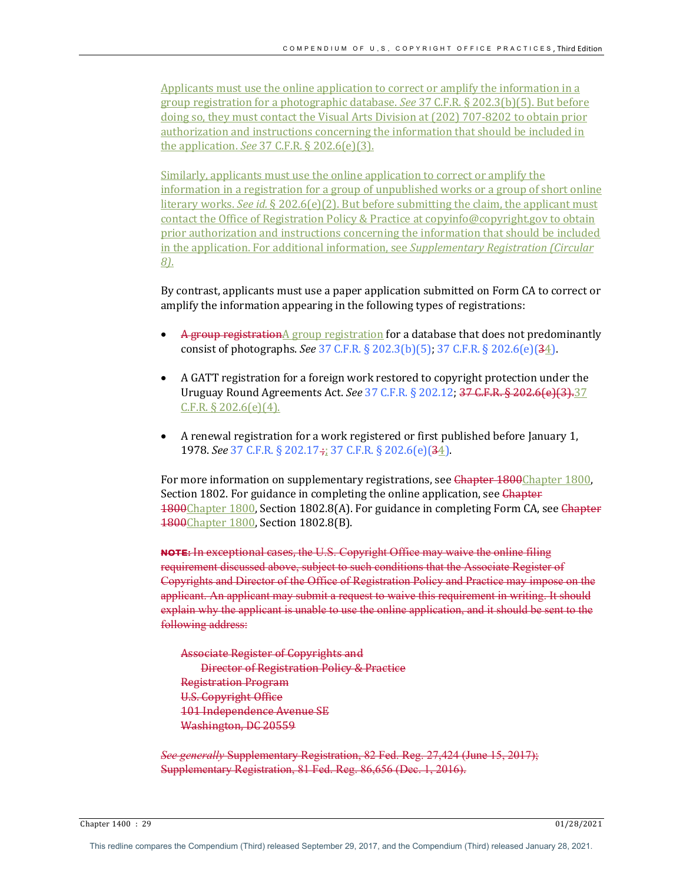Applicants must use the online application to correct or amplify the information in a group registration for a photographic database. *See* 37 C.F.R. § 202.3(b)(5). But before doing so, they must contact the Visual Arts Division at (202) 707-8202 to obtain prior authorization and instructions concerning the information that should be included in the application. *See* 37 C.F.R. § 202.6(e)(3).

Similarly, applicants must use the online application to correct or amplify the information in a registration for a group of unpublished works or a group of short online literary works. *See id.*  $\S 202.6(e)(2)$ . But before submitting the claim, the applicant must contact the Office of Registration Policy & Practice at copyinfo@copyright.gov to obtain prior authorization and instructions concerning the information that should be included in the application. For additional information, see *Supplementary Registration (Circular*) *8)*.

By contrast, applicants must use a paper application submitted on Form CA to correct or amplify the information appearing in the following types of registrations:

- $\Lambda$  group registration $\Lambda$  group registration for a database that does not predominantly consist of photographs. *See* 37 C.F.R. § 202.3(b)(5); 37 C.F.R. § 202.6(e)(34).
- A GATT registration for a foreign work restored to copyright protection under the Uruguay Round Agreements Act. See 37 C.F.R. § 202.12; 37 C.F.R. § 202.6(e)(3).37  $C.F.R. § 202.6(e)(4)$ .
- A renewal registration for a work registered or first published before January 1, 1978. *See* 37 C.F.R. § 202.17 ;; 37 C.F.R. § 202.6(e)(34).

For more information on supplementary registrations, see Chapter 1800Chapter 1800, Section 1802. For guidance in completing the online application, see Chapter 1800Chapter 1800, Section 1802.8(A). For guidance in completing Form CA, see Chapter 1800Chapter 1800, Section 1802.8(B).

**NOTE:** In exceptional cases, the U.S. Copyright Office may waive the online filing requirement discussed above, subject to such conditions that the Associate Register of Copyrights and Director of the Office of Registration Policy and Practice may impose on the applicant. An applicant may submit a request to waive this requirement in writing. It should explain why the applicant is unable to use the online application, and it should be sent to the following address:

Associate Register of Copyrights and Director of Registration Policy & Practice Registration Program U.S. Copyright Office 101 Independence Avenue SE Washington, DC 20559

*See generally* Supplementary Registration, 82 Fed. Reg. 27,424 (June 15, 2017); Supplementary Registration, 81 Fed. Reg. 86,656 (Dec. 1, 2016).

Chapter 1400 : 29 01/28/2021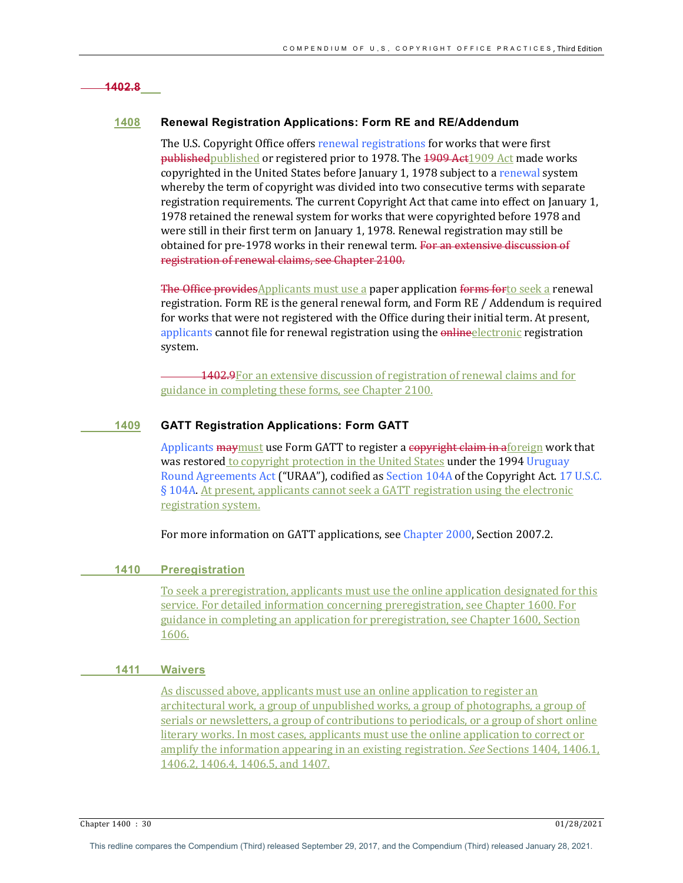# **1402.8**

# **1408 Renewal Registration Applications: Form RE and RE/Addendum**

The U.S. Copyright Office offers renewal registrations for works that were first published published or registered prior to 1978. The 1909 Act1909 Act made works copyrighted in the United States before January 1, 1978 subject to a renewal system whereby the term of copyright was divided into two consecutive terms with separate registration requirements. The current Copyright Act that came into effect on January 1, 1978 retained the renewal system for works that were copyrighted before 1978 and were still in their first term on January 1, 1978. Renewal registration may still be obtained for pre-1978 works in their renewal term. For an extensive discussion of registration of renewal claims, see Chapter 2100.

The Office provides Applicants must use a paper application forms for to seek a renewal registration. Form RE is the general renewal form, and Form RE / Addendum is required for works that were not registered with the Office during their initial term. At present, applicants cannot file for renewal registration using the online electronic registration system.

1402.9For an extensive discussion of registration of renewal claims and for guidance in completing these forms, see Chapter 2100.

# **1409 GATT Registration Applications: Form GATT**

Applicants maymust use Form GATT to register a copyright claim in aforeign work that was restored to copyright protection in the United States under the 1994 Uruguay Round Agreements Act ("URAA"), codified as Section 104A of the Copyright Act. 17 U.S.C. § 104A. At present, applicants cannot seek a GATT registration using the electronic registration system.

For more information on GATT applications, see Chapter 2000, Section 2007.2.

# **1410 Preregistration**

To seek a preregistration, applicants must use the online application designated for this service. For detailed information concerning preregistration, see Chapter 1600. For guidance in completing an application for preregistration, see Chapter 1600, Section 1606.

#### **1411 Waivers**

As discussed above, applicants must use an online application to register an architectural work, a group of unpublished works, a group of photographs, a group of serials or newsletters, a group of contributions to periodicals, or a group of short online literary works. In most cases, applicants must use the online application to correct or amplify the information appearing in an existing registration. *See* Sections 1404, 1406.1, 1406.2, 1406.4, 1406.5, and 1407.

Chapter 1400 : 30 01/28/2021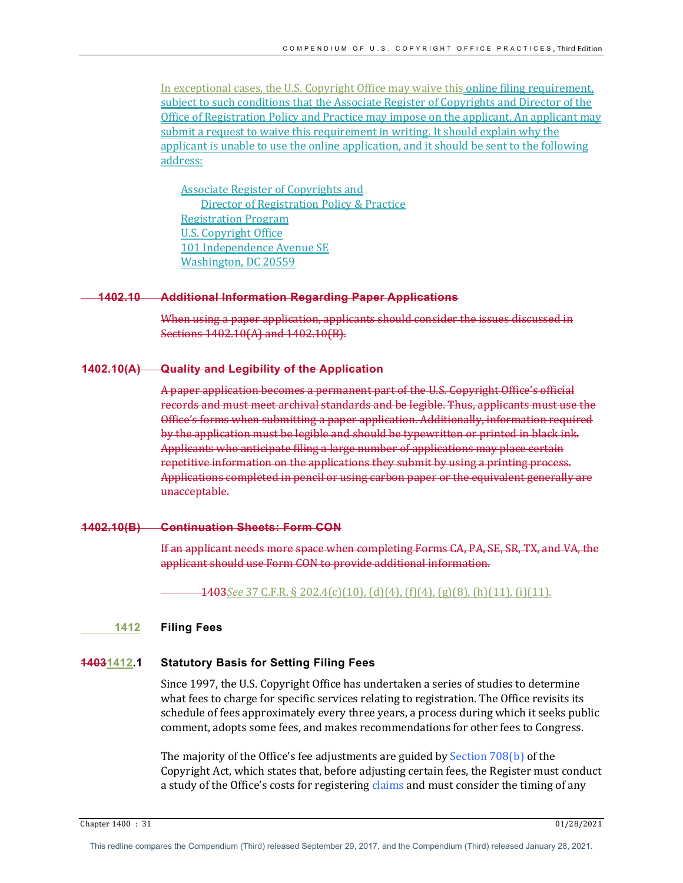In exceptional cases, the U.S. Copyright Office may waive this online filing requirement, subject to such conditions that the Associate Register of Copyrights and Director of the Office of Registration Policy and Practice may impose on the applicant. An applicant may submit a request to waive this requirement in writing. It should explain why the applicant is unable to use the online application, and it should be sent to the following address:

Associate Register of Copyrights and Director of Registration Policy & Practice Registration Program U.S. Copyright Office 101 Independence Avenue SE Washington, DC 20559

#### **1402.10 Additional Information Regarding Paper Applications**

When using a paper application, applicants should consider the issues discussed in Sections 1402.10(A) and 1402.10(B).

#### **1402.10(A) Quality and Legibility of the Application**

A paper application becomes a permanent part of the U.S. Copyright Office's official records and must meet archival standards and be legible. Thus, applicants must use the Office's forms when submitting a paper application. Additionally, information required by the application must be legible and should be typewritten or printed in black ink. Applicants who anticipate filing a large number of applications may place certain repetitive information on the applications they submit by using a printing process. Applications completed in pencil or using carbon paper or the equivalent generally are unacceptable. 

#### **1402.10(B) Continuation Sheets: Form CON**

If an applicant needs more space when completing Forms CA, PA, SE, SR, TX, and VA, the applicant should use Form CON to provide additional information.

1403*See* 37 C.F.R. § 202.4(c)(10), (d)(4), (f)(4), (g)(8), (h)(11), (i)(11).

#### **1412 Filing Fees**

#### **14031412.1 Statutory Basis for Setting Filing Fees**

Since 1997, the U.S. Copyright Office has undertaken a series of studies to determine what fees to charge for specific services relating to registration. The Office revisits its schedule of fees approximately every three years, a process during which it seeks public comment, adopts some fees, and makes recommendations for other fees to Congress.

The majority of the Office's fee adjustments are guided by Section  $708(b)$  of the Copyright Act, which states that, before adjusting certain fees, the Register must conduct a study of the Office's costs for registering claims and must consider the timing of any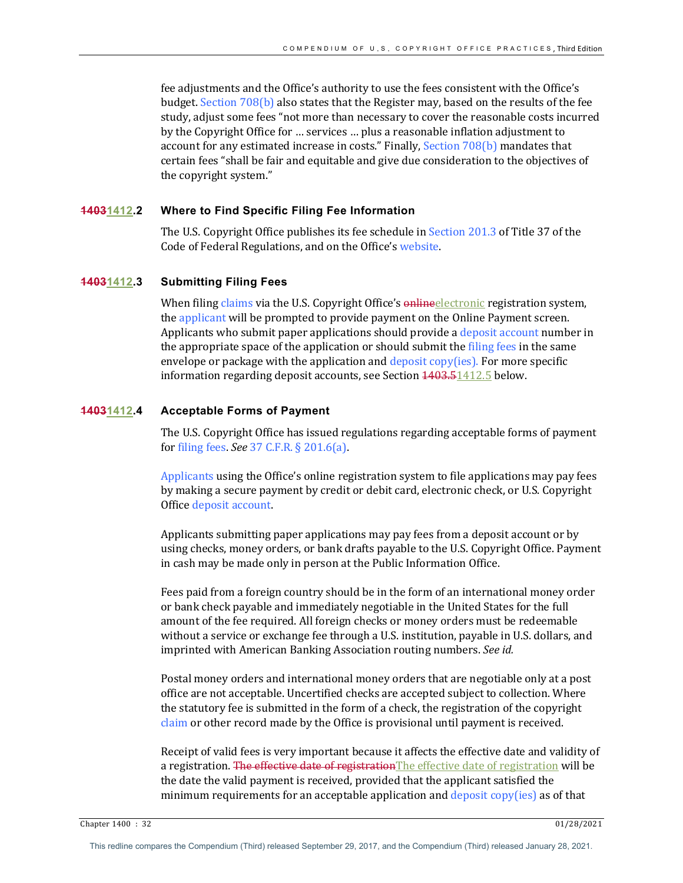fee adjustments and the Office's authority to use the fees consistent with the Office's budget. Section  $708(b)$  also states that the Register may, based on the results of the fee study, adjust some fees "not more than necessary to cover the reasonable costs incurred by the Copyright Office for ... services ... plus a reasonable inflation adjustment to account for any estimated increase in costs." Finally, Section  $708(b)$  mandates that certain fees "shall be fair and equitable and give due consideration to the objectives of the copyright system."

## **14031412.2 Where to Find Specific Filing Fee Information**

The U.S. Copyright Office publishes its fee schedule in Section 201.3 of Title 37 of the Code of Federal Regulations, and on the Office's website.

## **14031412.3 Submitting Filing Fees**

When filing claims via the U.S. Copyright Office's online electronic registration system, the applicant will be prompted to provide payment on the Online Payment screen. Applicants who submit paper applications should provide a deposit account number in the appropriate space of the application or should submit the filing fees in the same envelope or package with the application and deposit  $\text{copy(ies)}$ . For more specific information regarding deposit accounts, see Section 4403.51412.5 below.

## **14031412.4 Acceptable Forms of Payment**

The U.S. Copyright Office has issued regulations regarding acceptable forms of payment for filing fees. *See* 37 C.F.R. § 201.6(a).

Applicants using the Office's online registration system to file applications may pay fees by making a secure payment by credit or debit card, electronic check, or U.S. Copyright Office deposit account.

Applicants submitting paper applications may pay fees from a deposit account or by using checks, money orders, or bank drafts payable to the U.S. Copyright Office. Payment in cash may be made only in person at the Public Information Office.

Fees paid from a foreign country should be in the form of an international money order or bank check payable and immediately negotiable in the United States for the full amount of the fee required. All foreign checks or money orders must be redeemable without a service or exchange fee through a U.S. institution, payable in U.S. dollars, and imprinted with American Banking Association routing numbers. See id.

Postal money orders and international money orders that are negotiable only at a post office are not acceptable. Uncertified checks are accepted subject to collection. Where the statutory fee is submitted in the form of a check, the registration of the copyright claim or other record made by the Office is provisional until payment is received.

Receipt of valid fees is very important because it affects the effective date and validity of a registration. The effective date of registration The effective date of registration will be the date the valid payment is received, provided that the applicant satisfied the minimum requirements for an acceptable application and deposit copy(ies) as of that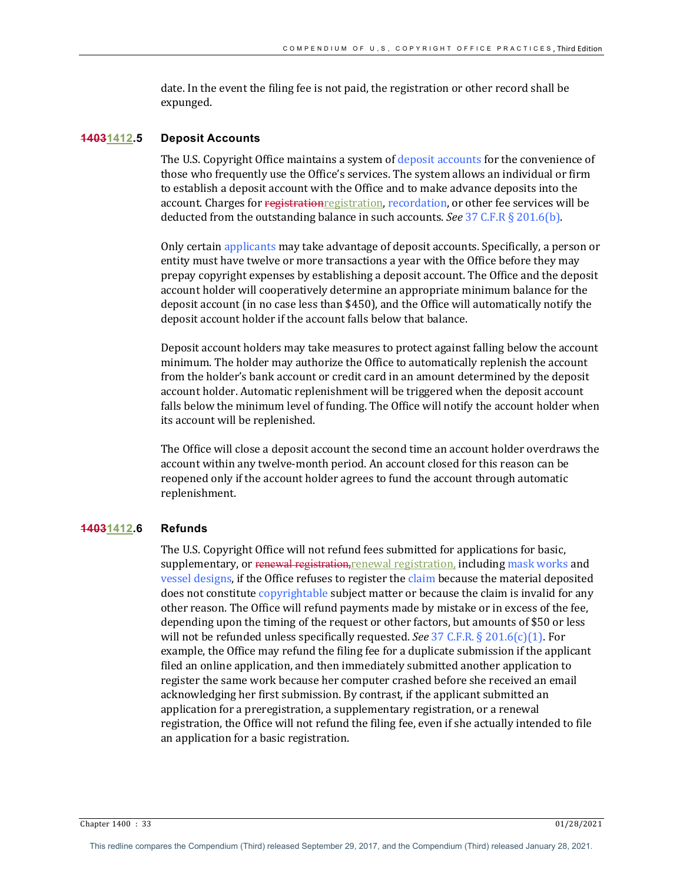date. In the event the filing fee is not paid, the registration or other record shall be expunged.

#### **14031412.5 Deposit Accounts**

The U.S. Copyright Office maintains a system of deposit accounts for the convenience of those who frequently use the Office's services. The system allows an individual or firm to establish a deposit account with the Office and to make advance deposits into the account. Charges for registrationregistration, recordation, or other fee services will be deducted from the outstanding balance in such accounts. *See* 37 C.F.R  $\S$  201.6(b).

Only certain applicants may take advantage of deposit accounts. Specifically, a person or entity must have twelve or more transactions a year with the Office before they may prepay copyright expenses by establishing a deposit account. The Office and the deposit account holder will cooperatively determine an appropriate minimum balance for the deposit account (in no case less than \$450), and the Office will automatically notify the deposit account holder if the account falls below that balance.

Deposit account holders may take measures to protect against falling below the account minimum. The holder may authorize the Office to automatically replenish the account from the holder's bank account or credit card in an amount determined by the deposit account holder. Automatic replenishment will be triggered when the deposit account falls below the minimum level of funding. The Office will notify the account holder when its account will be replenished.

The Office will close a deposit account the second time an account holder overdraws the account within any twelve-month period. An account closed for this reason can be reopened only if the account holder agrees to fund the account through automatic replenishment.

#### **14031412.6 Refunds**

The U.S. Copyright Office will not refund fees submitted for applications for basic, supplementary, or renewal registration, renewal registration, including mask works and vessel designs, if the Office refuses to register the claim because the material deposited does not constitute copyrightable subject matter or because the claim is invalid for any other reason. The Office will refund payments made by mistake or in excess of the fee, depending upon the timing of the request or other factors, but amounts of \$50 or less will not be refunded unless specifically requested. *See* 37 C.F.R. § 201.6(c)(1). For example, the Office may refund the filing fee for a duplicate submission if the applicant filed an online application, and then immediately submitted another application to register the same work because her computer crashed before she received an email acknowledging her first submission. By contrast, if the applicant submitted an application for a preregistration, a supplementary registration, or a renewal registration, the Office will not refund the filing fee, even if she actually intended to file an application for a basic registration.